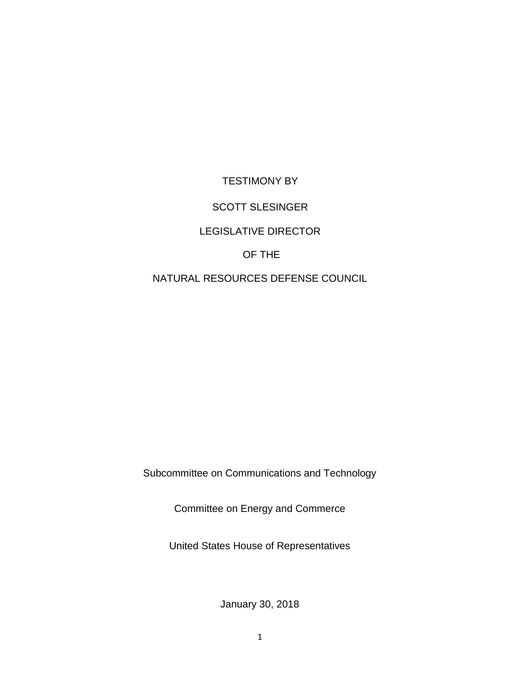TESTIMONY BY

# SCOTT SLESINGER

# LEGISLATIVE DIRECTOR

# OF THE

# NATURAL RESOURCES DEFENSE COUNCIL

Subcommittee on Communications and Technology

Committee on Energy and Commerce

United States House of Representatives

January 30, 2018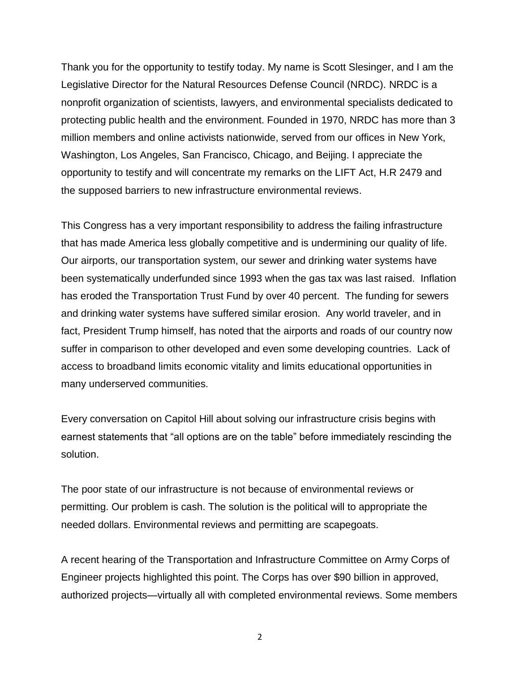Thank you for the opportunity to testify today. My name is Scott Slesinger, and I am the Legislative Director for the Natural Resources Defense Council (NRDC). NRDC is a nonprofit organization of scientists, lawyers, and environmental specialists dedicated to protecting public health and the environment. Founded in 1970, NRDC has more than 3 million members and online activists nationwide, served from our offices in New York, Washington, Los Angeles, San Francisco, Chicago, and Beijing. I appreciate the opportunity to testify and will concentrate my remarks on the LIFT Act, H.R 2479 and the supposed barriers to new infrastructure environmental reviews.

This Congress has a very important responsibility to address the failing infrastructure that has made America less globally competitive and is undermining our quality of life. Our airports, our transportation system, our sewer and drinking water systems have been systematically underfunded since 1993 when the gas tax was last raised. Inflation has eroded the Transportation Trust Fund by over 40 percent. The funding for sewers and drinking water systems have suffered similar erosion. Any world traveler, and in fact, President Trump himself, has noted that the airports and roads of our country now suffer in comparison to other developed and even some developing countries. Lack of access to broadband limits economic vitality and limits educational opportunities in many underserved communities.

Every conversation on Capitol Hill about solving our infrastructure crisis begins with earnest statements that "all options are on the table" before immediately rescinding the solution.

The poor state of our infrastructure is not because of environmental reviews or permitting. Our problem is cash. The solution is the political will to appropriate the needed dollars. Environmental reviews and permitting are scapegoats.

A recent hearing of the Transportation and Infrastructure Committee on Army Corps of Engineer projects highlighted this point. The Corps has over \$90 billion in approved, authorized projects—virtually all with completed environmental reviews. Some members

2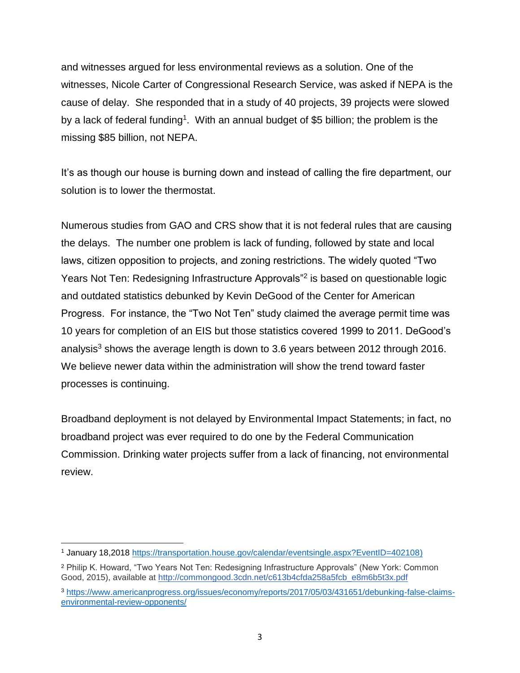and witnesses argued for less environmental reviews as a solution. One of the witnesses, Nicole Carter of Congressional Research Service, was asked if NEPA is the cause of delay. She responded that in a study of 40 projects, 39 projects were slowed by a lack of federal funding<sup>1</sup>. With an annual budget of \$5 billion; the problem is the missing \$85 billion, not NEPA.

It's as though our house is burning down and instead of calling the fire department, our solution is to lower the thermostat.

Numerous studies from GAO and CRS show that it is not federal rules that are causing the delays. The number one problem is lack of funding, followed by state and local laws, citizen opposition to projects, and zoning restrictions. The widely quoted "Two Years Not Ten: Redesigning Infrastructure Approvals"<sup>2</sup> is based on questionable logic and outdated statistics debunked by Kevin DeGood of the Center for American Progress. For instance, the "Two Not Ten" study claimed the average permit time was 10 years for completion of an EIS but those statistics covered 1999 to 2011. DeGood's analysis<sup>3</sup> shows the average length is down to 3.6 years between 2012 through 2016. We believe newer data within the administration will show the trend toward faster processes is continuing.

Broadband deployment is not delayed by Environmental Impact Statements; in fact, no broadband project was ever required to do one by the Federal Communication Commission. Drinking water projects suffer from a lack of financing, not environmental review.

l <sup>1</sup> January 18,2018 [https://transportation.house.gov/calendar/eventsingle.aspx?EventID=402108\)](https://transportation.house.gov/calendar/eventsingle.aspx?EventID=402108))

<sup>2</sup> Philip K. Howard, "Two Years Not Ten: Redesigning Infrastructure Approvals" (New York: Common Good, 2015), available at [http://commongood.3cdn.net/c613b4cfda258a5fcb\\_e8m6b5t3x.pdf](http://commongood.3cdn.net/c613b4cfda258a5fcb_e8m6b5t3x.pdf)

<sup>3</sup> [https://www.americanprogress.org/issues/economy/reports/2017/05/03/431651/debunking-false-claims](https://www.americanprogress.org/issues/economy/reports/2017/05/03/431651/debunking-false-claims-environmental-review-opponents/)[environmental-review-opponents/](https://www.americanprogress.org/issues/economy/reports/2017/05/03/431651/debunking-false-claims-environmental-review-opponents/)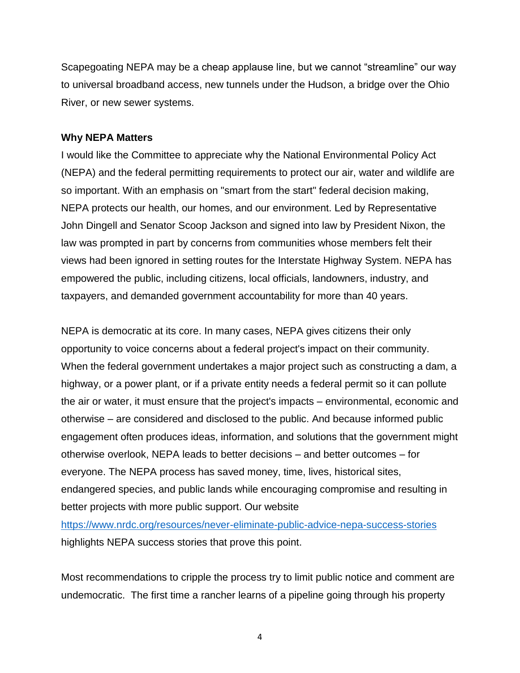Scapegoating NEPA may be a cheap applause line, but we cannot "streamline" our way to universal broadband access, new tunnels under the Hudson, a bridge over the Ohio River, or new sewer systems.

#### **Why NEPA Matters**

I would like the Committee to appreciate why the National Environmental Policy Act (NEPA) and the federal permitting requirements to protect our air, water and wildlife are so important. With an emphasis on "smart from the start" federal decision making, NEPA protects our health, our homes, and our environment. Led by Representative John Dingell and Senator Scoop Jackson and signed into law by President Nixon, the law was prompted in part by concerns from communities whose members felt their views had been ignored in setting routes for the Interstate Highway System. NEPA has empowered the public, including citizens, local officials, landowners, industry, and taxpayers, and demanded government accountability for more than 40 years.

NEPA is democratic at its core. In many cases, NEPA gives citizens their only opportunity to voice concerns about a federal project's impact on their community. When the federal government undertakes a major project such as constructing a dam, a highway, or a power plant, or if a private entity needs a federal permit so it can pollute the air or water, it must ensure that the project's impacts – environmental, economic and otherwise – are considered and disclosed to the public. And because informed public engagement often produces ideas, information, and solutions that the government might otherwise overlook, NEPA leads to better decisions – and better outcomes – for everyone. The NEPA process has saved money, time, lives, historical sites, endangered species, and public lands while encouraging compromise and resulting in better projects with more public support. Our website

<https://www.nrdc.org/resources/never-eliminate-public-advice-nepa-success-stories> highlights NEPA success stories that prove this point.

Most recommendations to cripple the process try to limit public notice and comment are undemocratic. The first time a rancher learns of a pipeline going through his property

4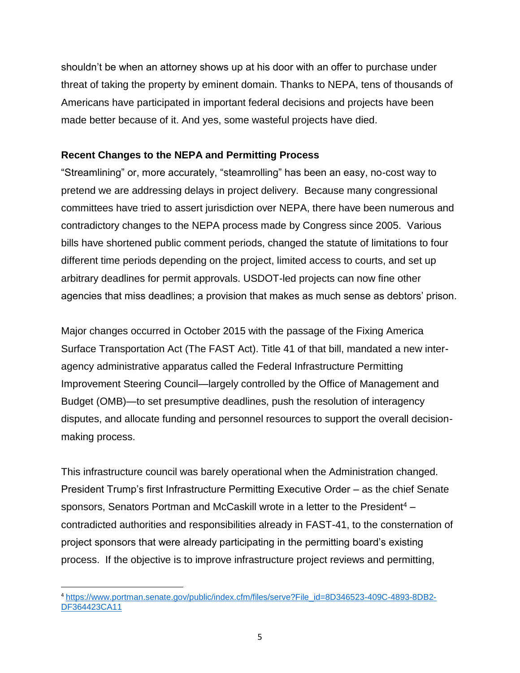shouldn't be when an attorney shows up at his door with an offer to purchase under threat of taking the property by eminent domain. Thanks to NEPA, tens of thousands of Americans have participated in important federal decisions and projects have been made better because of it. And yes, some wasteful projects have died.

# **Recent Changes to the NEPA and Permitting Process**

"Streamlining" or, more accurately, "steamrolling" has been an easy, no-cost way to pretend we are addressing delays in project delivery. Because many congressional committees have tried to assert jurisdiction over NEPA, there have been numerous and contradictory changes to the NEPA process made by Congress since 2005. Various bills have shortened public comment periods, changed the statute of limitations to four different time periods depending on the project, limited access to courts, and set up arbitrary deadlines for permit approvals. USDOT-led projects can now fine other agencies that miss deadlines; a provision that makes as much sense as debtors' prison.

Major changes occurred in October 2015 with the passage of the Fixing America Surface Transportation Act (The FAST Act). Title 41 of that bill, mandated a new interagency administrative apparatus called the Federal Infrastructure Permitting Improvement Steering Council—largely controlled by the Office of Management and Budget (OMB)—to set presumptive deadlines, push the resolution of interagency disputes, and allocate funding and personnel resources to support the overall decisionmaking process.

This infrastructure council was barely operational when the Administration changed. President Trump's first Infrastructure Permitting Executive Order – as the chief Senate sponsors, Senators Portman and McCaskill wrote in a letter to the President<sup>4</sup> – contradicted authorities and responsibilities already in FAST-41, to the consternation of project sponsors that were already participating in the permitting board's existing process. If the objective is to improve infrastructure project reviews and permitting,

l <sup>4</sup> [https://www.portman.senate.gov/public/index.cfm/files/serve?File\\_id=8D346523-409C-4893-8DB2-](https://www.portman.senate.gov/public/index.cfm/files/serve?File_id=8D346523-409C-4893-8DB2-DF364423CA11) [DF364423CA11](https://www.portman.senate.gov/public/index.cfm/files/serve?File_id=8D346523-409C-4893-8DB2-DF364423CA11)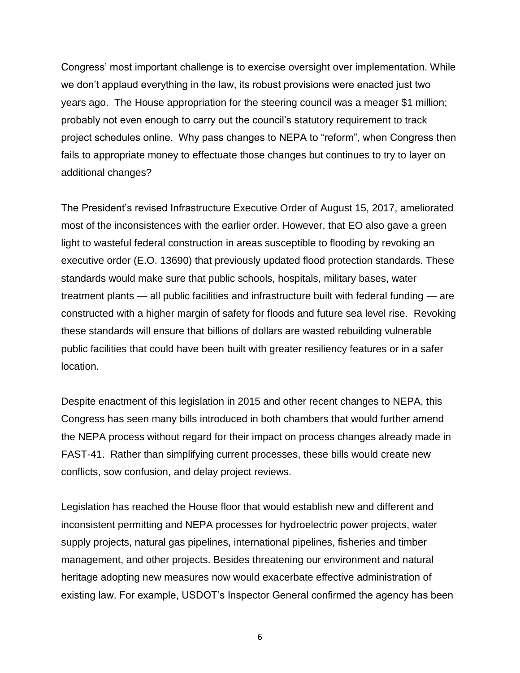Congress' most important challenge is to exercise oversight over implementation. While we don't applaud everything in the law, its robust provisions were enacted just two years ago. The House appropriation for the steering council was a meager \$1 million; probably not even enough to carry out the council's statutory requirement to track project schedules online. Why pass changes to NEPA to "reform", when Congress then fails to appropriate money to effectuate those changes but continues to try to layer on additional changes?

The President's revised Infrastructure Executive Order of August 15, 2017, ameliorated most of the inconsistences with the earlier order. However, that EO also gave a green light to wasteful federal construction in areas susceptible to flooding by revoking an executive order (E.O. 13690) that previously updated flood protection standards. These standards would make sure that public schools, hospitals, military bases, water treatment plants — all public facilities and infrastructure built with federal funding — are constructed with a higher margin of safety for floods and future sea level rise. Revoking these standards will ensure that billions of dollars are wasted rebuilding vulnerable public facilities that could have been built with greater resiliency features or in a safer location.

Despite enactment of this legislation in 2015 and other recent changes to NEPA, this Congress has seen many bills introduced in both chambers that would further amend the NEPA process without regard for their impact on process changes already made in FAST-41. Rather than simplifying current processes, these bills would create new conflicts, sow confusion, and delay project reviews.

Legislation has reached the House floor that would establish new and different and inconsistent permitting and NEPA processes for hydroelectric power projects, water supply projects, natural gas pipelines, international pipelines, fisheries and timber management, and other projects. Besides threatening our environment and natural heritage adopting new measures now would exacerbate effective administration of existing law. For example, USDOT's Inspector General confirmed the agency has been

6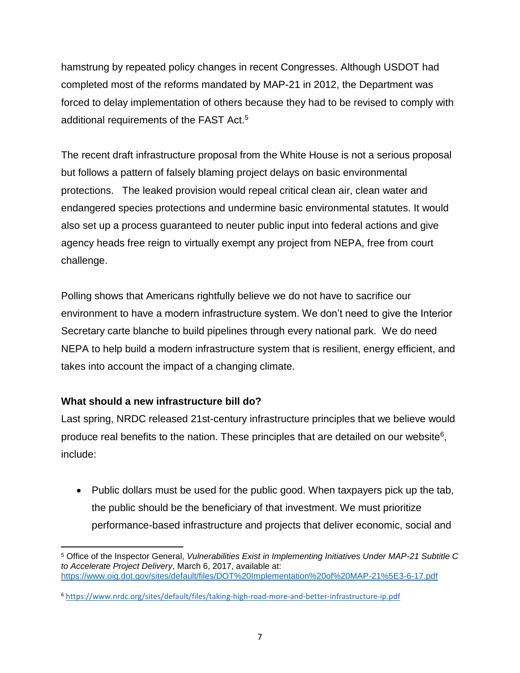hamstrung by repeated policy changes in recent Congresses. Although USDOT had completed most of the reforms mandated by MAP-21 in 2012, the Department was forced to delay implementation of others because they had to be revised to comply with additional requirements of the FAST Act.<sup>5</sup>

The recent draft infrastructure proposal from the White House is not a serious proposal but follows a pattern of falsely blaming project delays on basic environmental protections. The leaked provision would repeal critical clean air, clean water and endangered species protections and undermine basic environmental statutes. It would also set up a process guaranteed to neuter public input into federal actions and give agency heads free reign to virtually exempt any project from NEPA, free from court challenge.

Polling shows that Americans rightfully believe we do not have to sacrifice our environment to have a modern infrastructure system. We don't need to give the Interior Secretary carte blanche to build pipelines through every national park. We do need NEPA to help build a modern infrastructure system that is resilient, energy efficient, and takes into account the impact of a changing climate.

# **What should a new infrastructure bill do?**

Last spring, NRDC released 21st-century infrastructure principles that we believe would produce real benefits to the nation. These principles that are detailed on our website<sup>6</sup>, include:

• Public dollars must be used for the public good. When taxpayers pick up the tab, the public should be the beneficiary of that investment. We must prioritize performance-based infrastructure and projects that deliver economic, social and

 $\overline{\phantom{a}}$ <sup>5</sup> Office of the Inspector General, *Vulnerabilities Exist in Implementing Initiatives Under MAP-21 Subtitle C to Accelerate Project Delivery*, March 6, 2017, available at: <https://www.oig.dot.gov/sites/default/files/DOT%20Implementation%20of%20MAP-21%5E3-6-17.pdf>

<sup>6</sup> <https://www.nrdc.org/sites/default/files/taking-high-road-more-and-better-infrastructure-ip.pdf>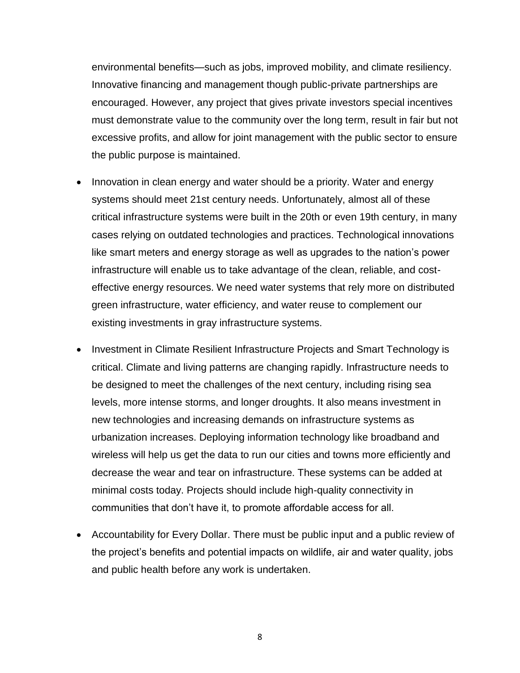environmental benefits—such as jobs, improved mobility, and climate resiliency. Innovative financing and management though public-private partnerships are encouraged. However, any project that gives private investors special incentives must demonstrate value to the community over the long term, result in fair but not excessive profits, and allow for joint management with the public sector to ensure the public purpose is maintained.

- Innovation in clean energy and water should be a priority. Water and energy systems should meet 21st century needs. Unfortunately, almost all of these critical infrastructure systems were built in the 20th or even 19th century, in many cases relying on outdated technologies and practices. Technological innovations like smart meters and energy storage as well as upgrades to the nation's power infrastructure will enable us to take advantage of the clean, reliable, and costeffective energy resources. We need water systems that rely more on distributed green infrastructure, water efficiency, and water reuse to complement our existing investments in gray infrastructure systems.
- Investment in Climate Resilient Infrastructure Projects and Smart Technology is critical. Climate and living patterns are changing rapidly. Infrastructure needs to be designed to meet the challenges of the next century, including rising sea levels, more intense storms, and longer droughts. It also means investment in new technologies and increasing demands on infrastructure systems as urbanization increases. Deploying information technology like broadband and wireless will help us get the data to run our cities and towns more efficiently and decrease the wear and tear on infrastructure. These systems can be added at minimal costs today. Projects should include high-quality connectivity in communities that don't have it, to promote affordable access for all.
- Accountability for Every Dollar. There must be public input and a public review of the project's benefits and potential impacts on wildlife, air and water quality, jobs and public health before any work is undertaken.

8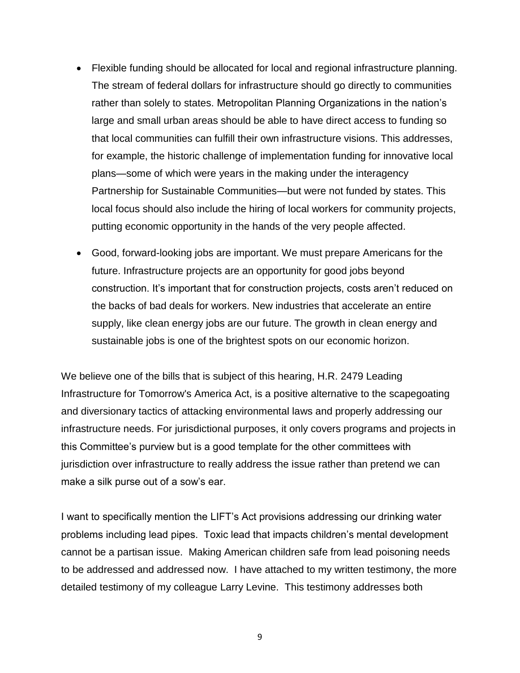- Flexible funding should be allocated for local and regional infrastructure planning. The stream of federal dollars for infrastructure should go directly to communities rather than solely to states. Metropolitan Planning Organizations in the nation's large and small urban areas should be able to have direct access to funding so that local communities can fulfill their own infrastructure visions. This addresses, for example, the historic challenge of implementation funding for innovative local plans—some of which were years in the making under the interagency Partnership for Sustainable Communities—but were not funded by states. This local focus should also include the hiring of local workers for community projects, putting economic opportunity in the hands of the very people affected.
- Good, forward-looking jobs are important. We must prepare Americans for the future. Infrastructure projects are an opportunity for good jobs beyond construction. It's important that for construction projects, costs aren't reduced on the backs of bad deals for workers. New industries that accelerate an entire supply, like clean energy jobs are our future. The growth in clean energy and sustainable jobs is one of the brightest spots on our economic horizon.

We believe one of the bills that is subject of this hearing, H.R. 2479 Leading Infrastructure for Tomorrow's America Act, is a positive alternative to the scapegoating and diversionary tactics of attacking environmental laws and properly addressing our infrastructure needs. For jurisdictional purposes, it only covers programs and projects in this Committee's purview but is a good template for the other committees with jurisdiction over infrastructure to really address the issue rather than pretend we can make a silk purse out of a sow's ear.

I want to specifically mention the LIFT's Act provisions addressing our drinking water problems including lead pipes. Toxic lead that impacts children's mental development cannot be a partisan issue. Making American children safe from lead poisoning needs to be addressed and addressed now. I have attached to my written testimony, the more detailed testimony of my colleague Larry Levine. This testimony addresses both

9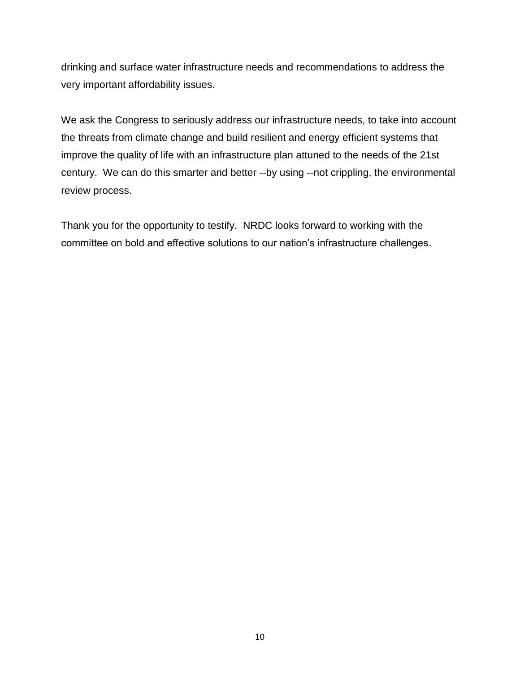drinking and surface water infrastructure needs and recommendations to address the very important affordability issues.

We ask the Congress to seriously address our infrastructure needs, to take into account the threats from climate change and build resilient and energy efficient systems that improve the quality of life with an infrastructure plan attuned to the needs of the 21st century. We can do this smarter and better --by using --not crippling, the environmental review process.

Thank you for the opportunity to testify. NRDC looks forward to working with the committee on bold and effective solutions to our nation's infrastructure challenges.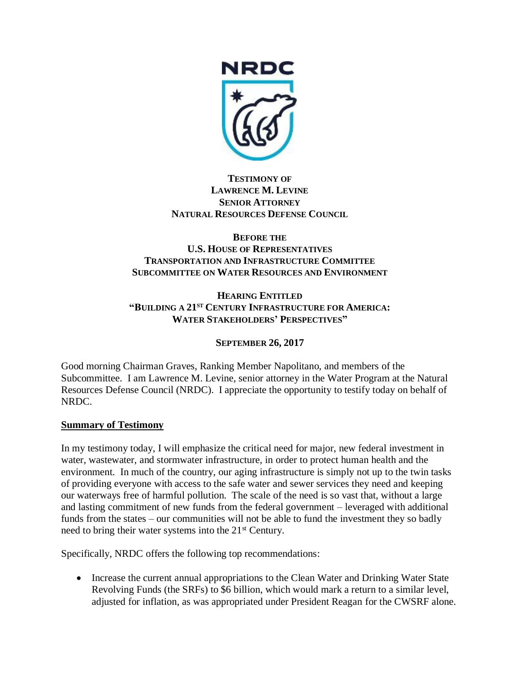

#### **TESTIMONY OF LAWRENCE M. LEVINE SENIOR ATTORNEY NATURAL RESOURCES DEFENSE COUNCIL**

## **BEFORE THE U.S. HOUSE OF REPRESENTATIVES TRANSPORTATION AND INFRASTRUCTURE COMMITTEE SUBCOMMITTEE ON WATER RESOURCES AND ENVIRONMENT**

#### **HEARING ENTITLED "BUILDING A 21ST CENTURY INFRASTRUCTURE FOR AMERICA: WATER STAKEHOLDERS' PERSPECTIVES"**

# **SEPTEMBER 26, 2017**

Good morning Chairman Graves, Ranking Member Napolitano, and members of the Subcommittee. I am Lawrence M. Levine, senior attorney in the Water Program at the Natural Resources Defense Council (NRDC). I appreciate the opportunity to testify today on behalf of NRDC.

# **Summary of Testimony**

In my testimony today, I will emphasize the critical need for major, new federal investment in water, wastewater, and stormwater infrastructure, in order to protect human health and the environment. In much of the country, our aging infrastructure is simply not up to the twin tasks of providing everyone with access to the safe water and sewer services they need and keeping our waterways free of harmful pollution. The scale of the need is so vast that, without a large and lasting commitment of new funds from the federal government – leveraged with additional funds from the states – our communities will not be able to fund the investment they so badly need to bring their water systems into the 21<sup>st</sup> Century.

Specifically, NRDC offers the following top recommendations:

• Increase the current annual appropriations to the Clean Water and Drinking Water State Revolving Funds (the SRFs) to \$6 billion, which would mark a return to a similar level, adjusted for inflation, as was appropriated under President Reagan for the CWSRF alone.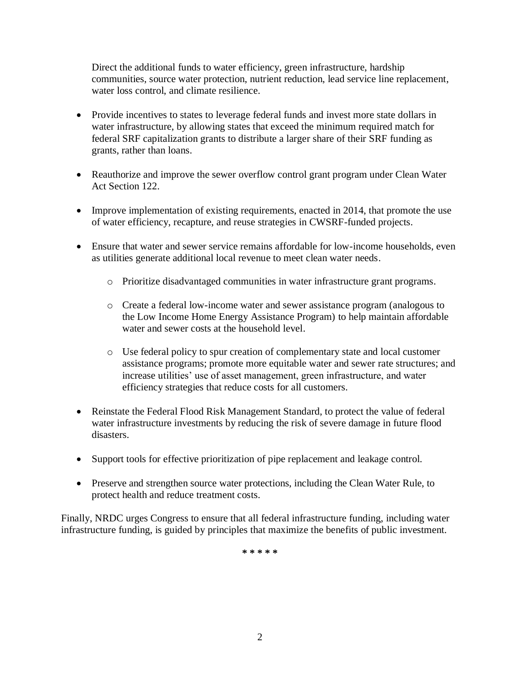Direct the additional funds to water efficiency, green infrastructure, hardship communities, source water protection, nutrient reduction, lead service line replacement, water loss control, and climate resilience.

- Provide incentives to states to leverage federal funds and invest more state dollars in water infrastructure, by allowing states that exceed the minimum required match for federal SRF capitalization grants to distribute a larger share of their SRF funding as grants, rather than loans.
- Reauthorize and improve the sewer overflow control grant program under Clean Water Act Section 122.
- Improve implementation of existing requirements, enacted in 2014, that promote the use of water efficiency, recapture, and reuse strategies in CWSRF-funded projects.
- Ensure that water and sewer service remains affordable for low-income households, even as utilities generate additional local revenue to meet clean water needs.
	- o Prioritize disadvantaged communities in water infrastructure grant programs.
	- o Create a federal low-income water and sewer assistance program (analogous to the Low Income Home Energy Assistance Program) to help maintain affordable water and sewer costs at the household level.
	- o Use federal policy to spur creation of complementary state and local customer assistance programs; promote more equitable water and sewer rate structures; and increase utilities' use of asset management, green infrastructure, and water efficiency strategies that reduce costs for all customers.
- Reinstate the Federal Flood Risk Management Standard, to protect the value of federal water infrastructure investments by reducing the risk of severe damage in future flood disasters.
- Support tools for effective prioritization of pipe replacement and leakage control.
- Preserve and strengthen source water protections, including the Clean Water Rule, to protect health and reduce treatment costs.

Finally, NRDC urges Congress to ensure that all federal infrastructure funding, including water infrastructure funding, is guided by principles that maximize the benefits of public investment.

**\* \* \* \* \***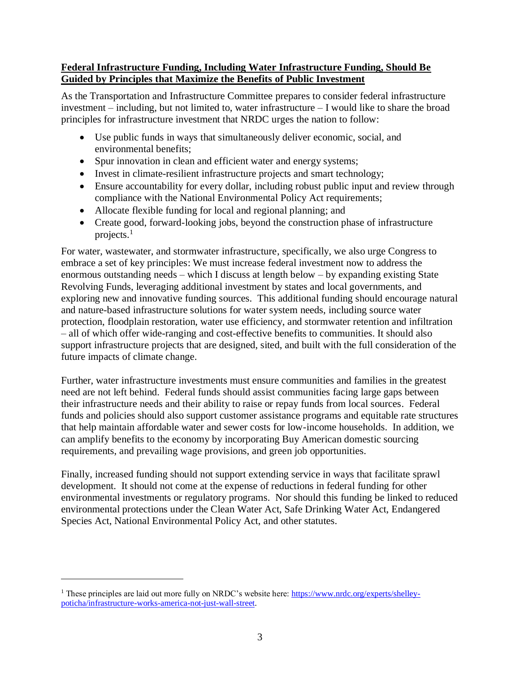## **Federal Infrastructure Funding, Including Water Infrastructure Funding, Should Be Guided by Principles that Maximize the Benefits of Public Investment**

As the Transportation and Infrastructure Committee prepares to consider federal infrastructure investment – including, but not limited to, water infrastructure – I would like to share the broad principles for infrastructure investment that NRDC urges the nation to follow:

- Use public funds in ways that simultaneously deliver economic, social, and environmental benefits;
- Spur innovation in clean and efficient water and energy systems;
- Invest in climate-resilient infrastructure projects and smart technology;
- Ensure accountability for every dollar, including robust public input and review through compliance with the National Environmental Policy Act requirements;
- Allocate flexible funding for local and regional planning; and
- Create good, forward-looking jobs, beyond the construction phase of infrastructure projects.<sup>1</sup>

For water, wastewater, and stormwater infrastructure, specifically, we also urge Congress to embrace a set of key principles: We must increase federal investment now to address the enormous outstanding needs – which I discuss at length below – by expanding existing State Revolving Funds, leveraging additional investment by states and local governments, and exploring new and innovative funding sources. This additional funding should encourage natural and nature-based infrastructure solutions for water system needs, including source water protection, floodplain restoration, water use efficiency, and stormwater retention and infiltration – all of which offer wide-ranging and cost-effective benefits to communities. It should also support infrastructure projects that are designed, sited, and built with the full consideration of the future impacts of climate change.

Further, water infrastructure investments must ensure communities and families in the greatest need are not left behind. Federal funds should assist communities facing large gaps between their infrastructure needs and their ability to raise or repay funds from local sources. Federal funds and policies should also support customer assistance programs and equitable rate structures that help maintain affordable water and sewer costs for low-income households. In addition, we can amplify benefits to the economy by incorporating Buy American domestic sourcing requirements, and prevailing wage provisions, and green job opportunities.

Finally, increased funding should not support extending service in ways that facilitate sprawl development. It should not come at the expense of reductions in federal funding for other environmental investments or regulatory programs. Nor should this funding be linked to reduced environmental protections under the Clean Water Act, Safe Drinking Water Act, Endangered Species Act, National Environmental Policy Act, and other statutes.

<sup>&</sup>lt;sup>1</sup> These principles are laid out more fully on NRDC's website here: [https://www.nrdc.org/experts/shelley](https://www.nrdc.org/experts/shelley-poticha/infrastructure-works-america-not-just-wall-street)[poticha/infrastructure-works-america-not-just-wall-street.](https://www.nrdc.org/experts/shelley-poticha/infrastructure-works-america-not-just-wall-street)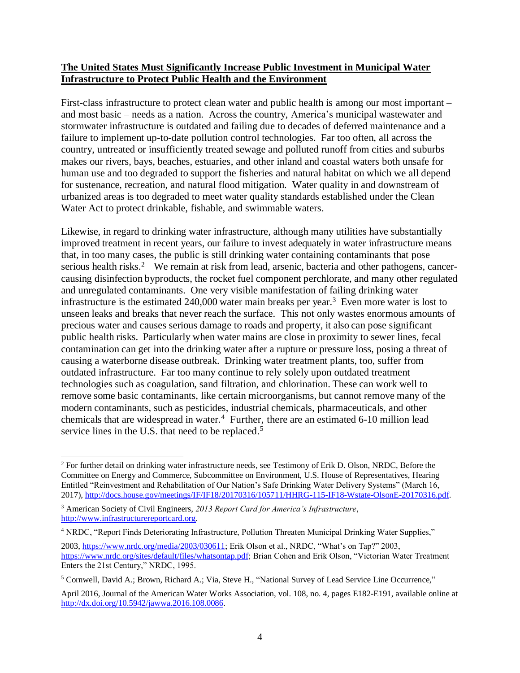#### **The United States Must Significantly Increase Public Investment in Municipal Water Infrastructure to Protect Public Health and the Environment**

First-class infrastructure to protect clean water and public health is among our most important – and most basic – needs as a nation. Across the country, America's municipal wastewater and stormwater infrastructure is outdated and failing due to decades of deferred maintenance and a failure to implement up-to-date pollution control technologies. Far too often, all across the country, untreated or insufficiently treated sewage and polluted runoff from cities and suburbs makes our rivers, bays, beaches, estuaries, and other inland and coastal waters both unsafe for human use and too degraded to support the fisheries and natural habitat on which we all depend for sustenance, recreation, and natural flood mitigation. Water quality in and downstream of urbanized areas is too degraded to meet water quality standards established under the Clean Water Act to protect drinkable, fishable, and swimmable waters.

Likewise, in regard to drinking water infrastructure, although many utilities have substantially improved treatment in recent years, our failure to invest adequately in water infrastructure means that, in too many cases, the public is still drinking water containing contaminants that pose serious health risks.<sup>2</sup> We remain at risk from lead, arsenic, bacteria and other pathogens, cancercausing disinfection byproducts, the rocket fuel component perchlorate, and many other regulated and unregulated contaminants. One very visible manifestation of failing drinking water infrastructure is the estimated 240,000 water main breaks per year.<sup>3</sup> Even more water is lost to unseen leaks and breaks that never reach the surface. This not only wastes enormous amounts of precious water and causes serious damage to roads and property, it also can pose significant public health risks. Particularly when water mains are close in proximity to sewer lines, fecal contamination can get into the drinking water after a rupture or pressure loss, posing a threat of causing a waterborne disease outbreak. Drinking water treatment plants, too, suffer from outdated infrastructure. Far too many continue to rely solely upon outdated treatment technologies such as coagulation, sand filtration, and chlorination. These can work well to remove some basic contaminants, like certain microorganisms, but cannot remove many of the modern contaminants, such as pesticides, industrial chemicals, pharmaceuticals, and other chemicals that are widespread in water. 4 Further, there are an estimated 6-10 million lead service lines in the U.S. that need to be replaced.<sup>5</sup>

<sup>&</sup>lt;sup>2</sup> For further detail on drinking water infrastructure needs, see Testimony of Erik D. Olson, NRDC, Before the Committee on Energy and Commerce, Subcommittee on Environment, U.S. House of Representatives, Hearing Entitled "Reinvestment and Rehabilitation of Our Nation's Safe Drinking Water Delivery Systems" (March 16, 2017), [http://docs.house.gov/meetings/IF/IF18/20170316/105711/HHRG-115-IF18-Wstate-OlsonE-20170316.pdf.](http://docs.house.gov/meetings/IF/IF18/20170316/105711/HHRG-115-IF18-Wstate-OlsonE-20170316.pdf)

<sup>3</sup> American Society of Civil Engineers, *2013 Report Card for America's Infrastructure*, [http://www.infrastructurereportcard.org.](http://www.infrastructurereportcard.org/)

<sup>4</sup> NRDC, "Report Finds Deteriorating Infrastructure, Pollution Threaten Municipal Drinking Water Supplies,"

<sup>2003,</sup> [https://www.nrdc.org/media/2003/030611;](https://www.nrdc.org/media/2003/030611) Erik Olson et al., NRDC, "What's on Tap?" 2003, [https://www.nrdc.org/sites/default/files/whatsontap.pdf;](https://www.nrdc.org/sites/default/files/whatsontap.pdf) Brian Cohen and Erik Olson, "Victorian Water Treatment Enters the 21st Century," NRDC, 1995.

<sup>5</sup> Cornwell, David A.; Brown, Richard A.; Via, Steve H., "National Survey of Lead Service Line Occurrence,"

April 2016, Journal of the American Water Works Association, vol. 108, no. 4, pages E182-E191, available online at [http://dx.doi.org/10.5942/jawwa.2016.108.0086.](http://dx.doi.org/10.5942/jawwa.2016.108.0086)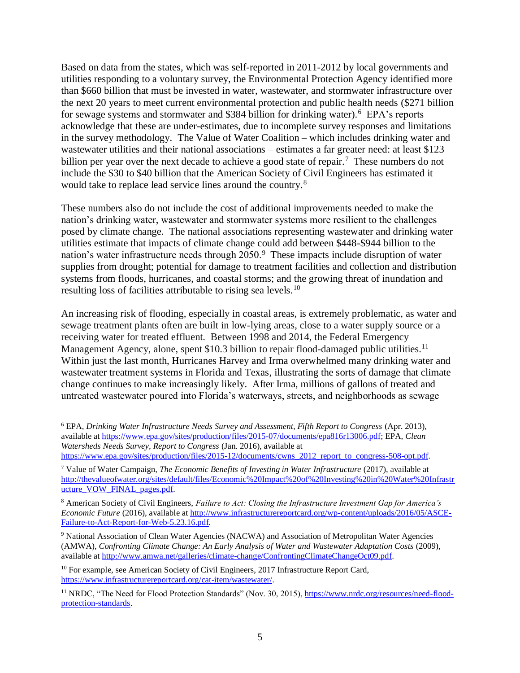Based on data from the states, which was self-reported in 2011-2012 by local governments and utilities responding to a voluntary survey, the Environmental Protection Agency identified more than \$660 billion that must be invested in water, wastewater, and stormwater infrastructure over the next 20 years to meet current environmental protection and public health needs (\$271 billion for sewage systems and stormwater and \$384 billion for drinking water).<sup>6</sup> EPA's reports acknowledge that these are under-estimates, due to incomplete survey responses and limitations in the survey methodology. The Value of Water Coalition – which includes drinking water and wastewater utilities and their national associations – estimates a far greater need: at least \$123 billion per year over the next decade to achieve a good state of repair.<sup>7</sup> These numbers do not include the \$30 to \$40 billion that the American Society of Civil Engineers has estimated it would take to replace lead service lines around the country.<sup>8</sup>

These numbers also do not include the cost of additional improvements needed to make the nation's drinking water, wastewater and stormwater systems more resilient to the challenges posed by climate change. The national associations representing wastewater and drinking water utilities estimate that impacts of climate change could add between \$448-\$944 billion to the nation's water infrastructure needs through 2050.<sup>9</sup> These impacts include disruption of water supplies from drought; potential for damage to treatment facilities and collection and distribution systems from floods, hurricanes, and coastal storms; and the growing threat of inundation and resulting loss of facilities attributable to rising sea levels.<sup>10</sup>

An increasing risk of flooding, especially in coastal areas, is extremely problematic, as water and sewage treatment plants often are built in low-lying areas, close to a water supply source or a receiving water for treated effluent. Between 1998 and 2014, the Federal Emergency Management Agency, alone, spent \$10.3 billion to repair flood-damaged public utilities.<sup>11</sup> Within just the last month, Hurricanes Harvey and Irma overwhelmed many drinking water and wastewater treatment systems in Florida and Texas, illustrating the sorts of damage that climate change continues to make increasingly likely. After Irma, millions of gallons of treated and untreated wastewater poured into Florida's waterways, streets, and neighborhoods as sewage

<sup>6</sup> EPA, *Drinking Water Infrastructure Needs Survey and Assessment, Fifth Report to Congress* (Apr. 2013), available at [https://www.epa.gov/sites/production/files/2015-07/documents/epa816r13006.pdf;](https://www.epa.gov/sites/production/files/2015-07/documents/epa816r13006.pdf) EPA, *Clean Watersheds Needs Survey, Report to Congress* (Jan. 2016), available at [https://www.epa.gov/sites/production/files/2015-12/documents/cwns\\_2012\\_report\\_to\\_congress-508-opt.pdf.](https://www.epa.gov/sites/production/files/2015-12/documents/cwns_2012_report_to_congress-508-opt.pdf)

<sup>7</sup> Value of Water Campaign, *The Economic Benefits of Investing in Water Infrastructure* (2017), available at [http://thevalueofwater.org/sites/default/files/Economic%20Impact%20of%20Investing%20in%20Water%20Infrastr](http://thevalueofwater.org/sites/default/files/Economic%20Impact%20of%20Investing%20in%20Water%20Infrastructure_VOW_FINAL_pages.pdf) [ucture\\_VOW\\_FINAL\\_pages.pdf.](http://thevalueofwater.org/sites/default/files/Economic%20Impact%20of%20Investing%20in%20Water%20Infrastructure_VOW_FINAL_pages.pdf)

<sup>8</sup> American Society of Civil Engineers, *Failure to Act: Closing the Infrastructure Investment Gap for America's Economic Future* (2016), available at [http://www.infrastructurereportcard.org/wp-content/uploads/2016/05/ASCE-](http://www.infrastructurereportcard.org/wp-content/uploads/2016/05/ASCE-Failure-to-Act-Report-for-Web-5.23.16.pdf)[Failure-to-Act-Report-for-Web-5.23.16.pdf.](http://www.infrastructurereportcard.org/wp-content/uploads/2016/05/ASCE-Failure-to-Act-Report-for-Web-5.23.16.pdf)

<sup>9</sup> National Association of Clean Water Agencies (NACWA) and Association of Metropolitan Water Agencies (AMWA), *Confronting Climate Change: An Early Analysis of Water and Wastewater Adaptation Costs* (2009), available at [http://www.amwa.net/galleries/climate-change/ConfrontingClimateChangeOct09.pdf.](http://www.amwa.net/galleries/climate-change/ConfrontingClimateChangeOct09.pdf)

<sup>&</sup>lt;sup>10</sup> For example, see American Society of Civil Engineers, 2017 Infrastructure Report Card, [https://www.infrastructurereportcard.org/cat-item/wastewater/.](https://www.infrastructurereportcard.org/cat-item/wastewater/)

<sup>&</sup>lt;sup>11</sup> NRDC, "The Need for Flood Protection Standards" (Nov. 30, 2015)[, https://www.nrdc.org/resources/need-flood](https://www.nrdc.org/resources/need-flood-protection-standards)[protection-standards.](https://www.nrdc.org/resources/need-flood-protection-standards)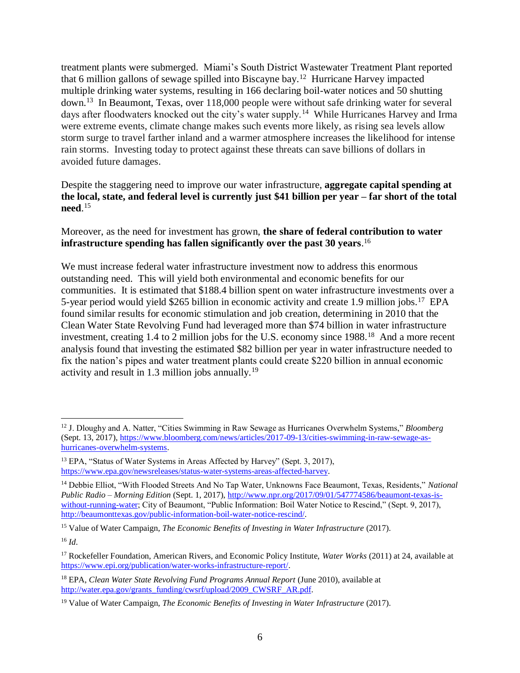treatment plants were submerged. Miami's South District Wastewater Treatment Plant reported that 6 million gallons of sewage spilled into Biscayne bay.<sup>12</sup> Hurricane Harvey impacted multiple drinking water systems, resulting in 166 declaring boil-water notices and 50 shutting down.<sup>13</sup> In Beaumont, Texas, over 118,000 people were without safe drinking water for several days after floodwaters knocked out the city's water supply.<sup>14</sup> While Hurricanes Harvey and Irma were extreme events, climate change makes such events more likely, as rising sea levels allow storm surge to travel farther inland and a warmer atmosphere increases the likelihood for intense rain storms. Investing today to protect against these threats can save billions of dollars in avoided future damages.

Despite the staggering need to improve our water infrastructure, **aggregate capital spending at the local, state, and federal level is currently just \$41 billion per year – far short of the total need**. 15

#### Moreover, as the need for investment has grown, **the share of federal contribution to water infrastructure spending has fallen significantly over the past 30 years**. 16

We must increase federal water infrastructure investment now to address this enormous outstanding need. This will yield both environmental and economic benefits for our communities. It is estimated that \$188.4 billion spent on water infrastructure investments over a 5-year period would yield \$265 billion in economic activity and create 1.9 million jobs.<sup>17</sup> EPA found similar results for economic stimulation and job creation, determining in 2010 that the Clean Water State Revolving Fund had leveraged more than \$74 billion in water infrastructure investment, creating 1.4 to 2 million jobs for the U.S. economy since 1988.<sup>18</sup> And a more recent analysis found that investing the estimated \$82 billion per year in water infrastructure needed to fix the nation's pipes and water treatment plants could create \$220 billion in annual economic activity and result in 1.3 million jobs annually.<sup>19</sup>

<sup>15</sup> Value of Water Campaign, *The Economic Benefits of Investing in Water Infrastructure* (2017).

 $\overline{a}$ <sup>12</sup> J. Dloughy and A. Natter, "Cities Swimming in Raw Sewage as Hurricanes Overwhelm Systems," *Bloomberg* (Sept. 13, 2017), [https://www.bloomberg.com/news/articles/2017-09-13/cities-swimming-in-raw-sewage-as](https://www.bloomberg.com/news/articles/2017-09-13/cities-swimming-in-raw-sewage-as-hurricanes-overwhelm-systems)[hurricanes-overwhelm-systems.](https://www.bloomberg.com/news/articles/2017-09-13/cities-swimming-in-raw-sewage-as-hurricanes-overwhelm-systems)

<sup>&</sup>lt;sup>13</sup> EPA, "Status of Water Systems in Areas Affected by Harvey" (Sept. 3, 2017), [https://www.epa.gov/newsreleases/status-water-systems-areas-affected-harvey.](https://www.epa.gov/newsreleases/status-water-systems-areas-affected-harvey) 

<sup>14</sup> Debbie Elliot, "With Flooded Streets And No Tap Water, Unknowns Face Beaumont, Texas, Residents," *National Public Radio – Morning Edition* (Sept. 1, 2017), [http://www.npr.org/2017/09/01/547774586/beaumont-texas-is](http://www.npr.org/2017/09/01/547774586/beaumont-texas-is-without-running-water)[without-running-water;](http://www.npr.org/2017/09/01/547774586/beaumont-texas-is-without-running-water) City of Beaumont, "Public Information: Boil Water Notice to Rescind," (Sept. 9, 2017), [http://beaumonttexas.gov/public-information-boil-water-notice-rescind/.](http://beaumonttexas.gov/public-information-boil-water-notice-rescind/)

<sup>16</sup> *Id*.

<sup>17</sup> Rockefeller Foundation, American Rivers, and Economic Policy Institute, *Water Works* (2011) at 24, available at [https://www.epi.org/publication/water-works-infrastructure-report/.](https://www.epi.org/publication/water-works-infrastructure-report/)

<sup>18</sup> EPA, *Clean Water State Revolving Fund Programs Annual Report* (June 2010), available at [http://water.epa.gov/grants\\_funding/cwsrf/upload/2009\\_CWSRF\\_AR.pdf.](http://water.epa.gov/grants_funding/cwsrf/upload/2009_CWSRF_AR.pdf)

<sup>19</sup> Value of Water Campaign, *The Economic Benefits of Investing in Water Infrastructure* (2017).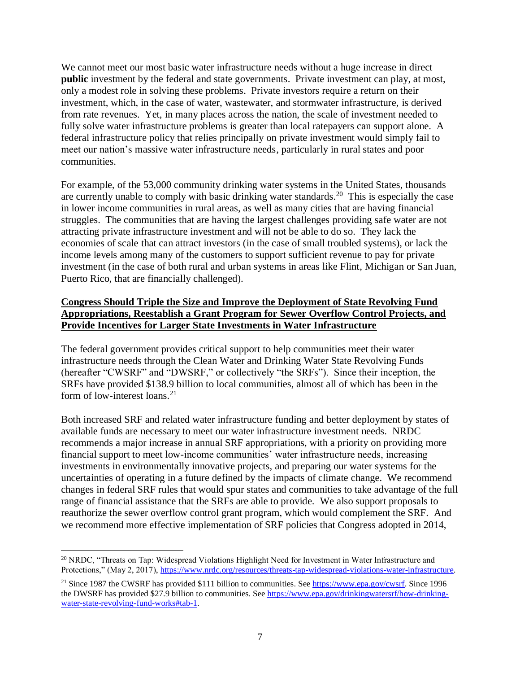We cannot meet our most basic water infrastructure needs without a huge increase in direct **public** investment by the federal and state governments. Private investment can play, at most, only a modest role in solving these problems. Private investors require a return on their investment, which, in the case of water, wastewater, and stormwater infrastructure, is derived from rate revenues. Yet, in many places across the nation, the scale of investment needed to fully solve water infrastructure problems is greater than local ratepayers can support alone. A federal infrastructure policy that relies principally on private investment would simply fail to meet our nation's massive water infrastructure needs, particularly in rural states and poor communities.

For example, of the 53,000 community drinking water systems in the United States, thousands are currently unable to comply with basic drinking water standards.<sup>20</sup> This is especially the case in lower income communities in rural areas, as well as many cities that are having financial struggles. The communities that are having the largest challenges providing safe water are not attracting private infrastructure investment and will not be able to do so. They lack the economies of scale that can attract investors (in the case of small troubled systems), or lack the income levels among many of the customers to support sufficient revenue to pay for private investment (in the case of both rural and urban systems in areas like Flint, Michigan or San Juan, Puerto Rico, that are financially challenged).

## **Congress Should Triple the Size and Improve the Deployment of State Revolving Fund Appropriations, Reestablish a Grant Program for Sewer Overflow Control Projects, and Provide Incentives for Larger State Investments in Water Infrastructure**

The federal government provides critical support to help communities meet their water infrastructure needs through the Clean Water and Drinking Water State Revolving Funds (hereafter "CWSRF" and "DWSRF," or collectively "the SRFs"). Since their inception, the SRFs have provided \$138.9 billion to local communities, almost all of which has been in the form of low-interest loans.<sup>21</sup>

Both increased SRF and related water infrastructure funding and better deployment by states of available funds are necessary to meet our water infrastructure investment needs. NRDC recommends a major increase in annual SRF appropriations, with a priority on providing more financial support to meet low-income communities' water infrastructure needs, increasing investments in environmentally innovative projects, and preparing our water systems for the uncertainties of operating in a future defined by the impacts of climate change. We recommend changes in federal SRF rules that would spur states and communities to take advantage of the full range of financial assistance that the SRFs are able to provide. We also support proposals to reauthorize the sewer overflow control grant program, which would complement the SRF. And we recommend more effective implementation of SRF policies that Congress adopted in 2014,

<sup>&</sup>lt;sup>20</sup> NRDC, "Threats on Tap: Widespread Violations Highlight Need for Investment in Water Infrastructure and Protections," (May 2, 2017), https://www.nrdc.org/resources/threats-tap-widespread-violations-water-infrastructure.

<sup>&</sup>lt;sup>21</sup> Since 1987 the CWSRF has provided \$111 billion to communities. See [https://www.epa.gov/cwsrf.](https://www.epa.gov/cwsrf) Since 1996 the DWSRF has provided \$27.9 billion to communities. See [https://www.epa.gov/drinkingwatersrf/how-drinking](https://www.epa.gov/drinkingwatersrf/how-drinking-water-state-revolving-fund-works#tab-1)[water-state-revolving-fund-works#tab-1.](https://www.epa.gov/drinkingwatersrf/how-drinking-water-state-revolving-fund-works#tab-1)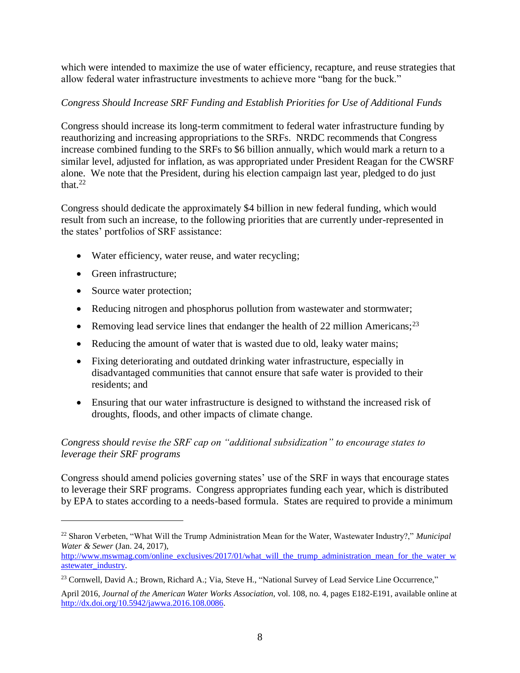which were intended to maximize the use of water efficiency, recapture, and reuse strategies that allow federal water infrastructure investments to achieve more "bang for the buck."

## *Congress Should Increase SRF Funding and Establish Priorities for Use of Additional Funds*

Congress should increase its long-term commitment to federal water infrastructure funding by reauthorizing and increasing appropriations to the SRFs. NRDC recommends that Congress increase combined funding to the SRFs to \$6 billion annually, which would mark a return to a similar level, adjusted for inflation, as was appropriated under President Reagan for the CWSRF alone. We note that the President, during his election campaign last year, pledged to do just that. $22$ 

Congress should dedicate the approximately \$4 billion in new federal funding, which would result from such an increase, to the following priorities that are currently under-represented in the states' portfolios of SRF assistance:

- Water efficiency, water reuse, and water recycling;
- Green infrastructure:

 $\overline{a}$ 

- Source water protection;
- Reducing nitrogen and phosphorus pollution from wastewater and stormwater;
- Removing lead service lines that endanger the health of 22 million Americans;<sup>23</sup>
- Reducing the amount of water that is wasted due to old, leaky water mains;
- Fixing deteriorating and outdated drinking water infrastructure, especially in disadvantaged communities that cannot ensure that safe water is provided to their residents; and
- Ensuring that our water infrastructure is designed to withstand the increased risk of droughts, floods, and other impacts of climate change.

# *Congress should revise the SRF cap on "additional subsidization" to encourage states to leverage their SRF programs*

Congress should amend policies governing states' use of the SRF in ways that encourage states to leverage their SRF programs. Congress appropriates funding each year, which is distributed by EPA to states according to a needs-based formula. States are required to provide a minimum

<sup>22</sup> Sharon Verbeten, "What Will the Trump Administration Mean for the Water, Wastewater Industry?," *Municipal Water & Sewer* (Jan. 24, 2017),

[http://www.mswmag.com/online\\_exclusives/2017/01/what\\_will\\_the\\_trump\\_administration\\_mean\\_for\\_the\\_water\\_w](http://www.mswmag.com/online_exclusives/2017/01/what_will_the_trump_administration_mean_for_the_water_wastewater_industry) [astewater\\_industry.](http://www.mswmag.com/online_exclusives/2017/01/what_will_the_trump_administration_mean_for_the_water_wastewater_industry)

<sup>&</sup>lt;sup>23</sup> Cornwell, David A.; Brown, Richard A.; Via, Steve H., "National Survey of Lead Service Line Occurrence,"

April 2016, *Journal of the American Water Works Association*, vol. 108, no. 4, pages E182-E191, available online at [http://dx.doi.org/10.5942/jawwa.2016.108.0086.](http://dx.doi.org/10.5942/jawwa.2016.108.0086)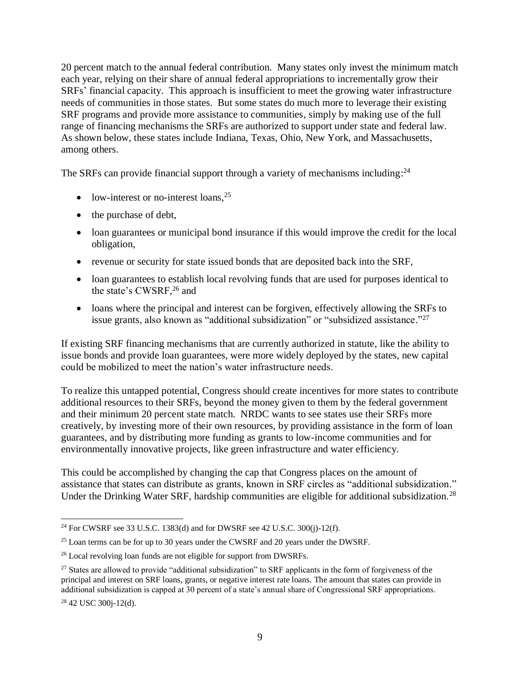20 percent match to the annual federal contribution. Many states only invest the minimum match each year, relying on their share of annual federal appropriations to incrementally grow their SRFs' financial capacity. This approach is insufficient to meet the growing water infrastructure needs of communities in those states. But some states do much more to leverage their existing SRF programs and provide more assistance to communities, simply by making use of the full range of financing mechanisms the SRFs are authorized to support under state and federal law. As shown below, these states include Indiana, Texas, Ohio, New York, and Massachusetts, among others.

The SRFs can provide financial support through a variety of mechanisms including:<sup>24</sup>

- low-interest or no-interest loans,  $25$
- the purchase of debt,
- loan guarantees or municipal bond insurance if this would improve the credit for the local obligation,
- revenue or security for state issued bonds that are deposited back into the SRF,
- loan guarantees to establish local revolving funds that are used for purposes identical to the state's CWSRF, <sup>26</sup> and
- loans where the principal and interest can be forgiven, effectively allowing the SRFs to issue grants, also known as "additional subsidization" or "subsidized assistance."<sup>27</sup>

If existing SRF financing mechanisms that are currently authorized in statute, like the ability to issue bonds and provide loan guarantees, were more widely deployed by the states, new capital could be mobilized to meet the nation's water infrastructure needs.

To realize this untapped potential, Congress should create incentives for more states to contribute additional resources to their SRFs, beyond the money given to them by the federal government and their minimum 20 percent state match. NRDC wants to see states use their SRFs more creatively, by investing more of their own resources, by providing assistance in the form of loan guarantees, and by distributing more funding as grants to low-income communities and for environmentally innovative projects, like green infrastructure and water efficiency.

This could be accomplished by changing the cap that Congress places on the amount of assistance that states can distribute as grants, known in SRF circles as "additional subsidization." Under the Drinking Water SRF, hardship communities are eligible for additional subsidization.<sup>28</sup>

 $\overline{a}$ <sup>24</sup> For CWSRF see 33 U.S.C. 1383(d) and for DWSRF see 42 U.S.C. 300(j)-12(f).

<sup>&</sup>lt;sup>25</sup> Loan terms can be for up to 30 years under the CWSRF and 20 years under the DWSRF.

<sup>&</sup>lt;sup>26</sup> Local revolving loan funds are not eligible for support from DWSRFs.

<sup>&</sup>lt;sup>27</sup> States are allowed to provide "additional subsidization" to SRF applicants in the form of forgiveness of the principal and interest on SRF loans, grants, or negative interest rate loans. The amount that states can provide in additional subsidization is capped at 30 percent of a state's annual share of Congressional SRF appropriations.

<sup>28</sup> 42 USC 300j-12(d).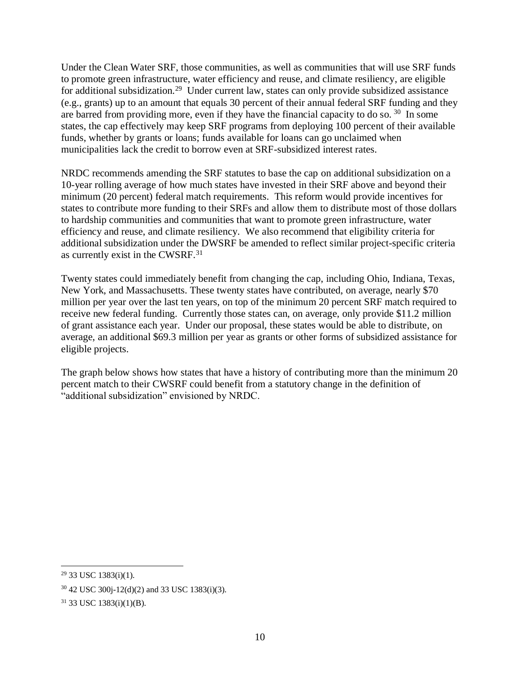Under the Clean Water SRF, those communities, as well as communities that will use SRF funds to promote green infrastructure, water efficiency and reuse, and climate resiliency, are eligible for additional subsidization.<sup>29</sup> Under current law, states can only provide subsidized assistance (e.g., grants) up to an amount that equals 30 percent of their annual federal SRF funding and they are barred from providing more, even if they have the financial capacity to do so.  $30\,$  In some states, the cap effectively may keep SRF programs from deploying 100 percent of their available funds, whether by grants or loans; funds available for loans can go unclaimed when municipalities lack the credit to borrow even at SRF-subsidized interest rates.

NRDC recommends amending the SRF statutes to base the cap on additional subsidization on a 10-year rolling average of how much states have invested in their SRF above and beyond their minimum (20 percent) federal match requirements. This reform would provide incentives for states to contribute more funding to their SRFs and allow them to distribute most of those dollars to hardship communities and communities that want to promote green infrastructure, water efficiency and reuse, and climate resiliency. We also recommend that eligibility criteria for additional subsidization under the DWSRF be amended to reflect similar project-specific criteria as currently exist in the CWSRF.<sup>31</sup>

Twenty states could immediately benefit from changing the cap, including Ohio, Indiana, Texas, New York, and Massachusetts. These twenty states have contributed, on average, nearly \$70 million per year over the last ten years, on top of the minimum 20 percent SRF match required to receive new federal funding. Currently those states can, on average, only provide \$11.2 million of grant assistance each year. Under our proposal, these states would be able to distribute, on average, an additional \$69.3 million per year as grants or other forms of subsidized assistance for eligible projects.

The graph below shows how states that have a history of contributing more than the minimum 20 percent match to their CWSRF could benefit from a statutory change in the definition of "additional subsidization" envisioned by NRDC.

 $29$  33 USC 1383(i)(1).

<sup>30</sup> 42 USC 300j-12(d)(2) and 33 USC 1383(i)(3).

<sup>31</sup> 33 USC 1383(i)(1)(B).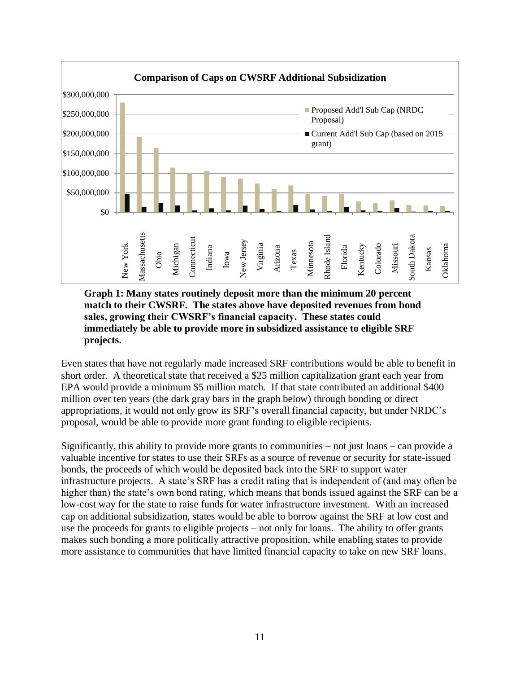

**Graph 1: Many states routinely deposit more than the minimum 20 percent match to their CWSRF. The states above have deposited revenues from bond sales, growing their CWSRF's financial capacity. These states could immediately be able to provide more in subsidized assistance to eligible SRF projects.**

Even states that have not regularly made increased SRF contributions would be able to benefit in short order. A theoretical state that received a \$25 million capitalization grant each year from EPA would provide a minimum \$5 million match. If that state contributed an additional \$400 million over ten years (the dark gray bars in the graph below) through bonding or direct appropriations, it would not only grow its SRF's overall financial capacity, but under NRDC's proposal, would be able to provide more grant funding to eligible recipients.

Significantly, this ability to provide more grants to communities – not just loans – can provide a valuable incentive for states to use their SRFs as a source of revenue or security for state-issued bonds, the proceeds of which would be deposited back into the SRF to support water infrastructure projects. A state's SRF has a credit rating that is independent of (and may often be higher than) the state's own bond rating, which means that bonds issued against the SRF can be a low-cost way for the state to raise funds for water infrastructure investment. With an increased cap on additional subsidization, states would be able to borrow against the SRF at low cost and use the proceeds for grants to eligible projects – not only for loans. The ability to offer grants makes such bonding a more politically attractive proposition, while enabling states to provide more assistance to communities that have limited financial capacity to take on new SRF loans.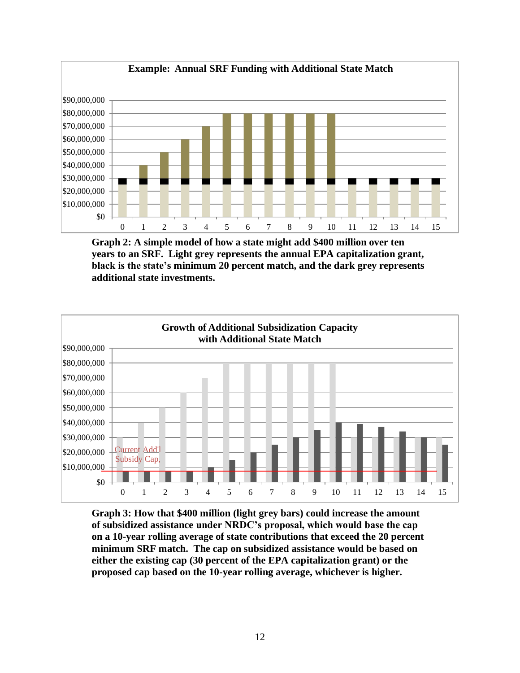

**Graph 2: A simple model of how a state might add \$400 million over ten years to an SRF. Light grey represents the annual EPA capitalization grant, black is the state's minimum 20 percent match, and the dark grey represents additional state investments.** 



**Graph 3: How that \$400 million (light grey bars) could increase the amount of subsidized assistance under NRDC's proposal, which would base the cap on a 10-year rolling average of state contributions that exceed the 20 percent minimum SRF match. The cap on subsidized assistance would be based on either the existing cap (30 percent of the EPA capitalization grant) or the proposed cap based on the 10-year rolling average, whichever is higher.**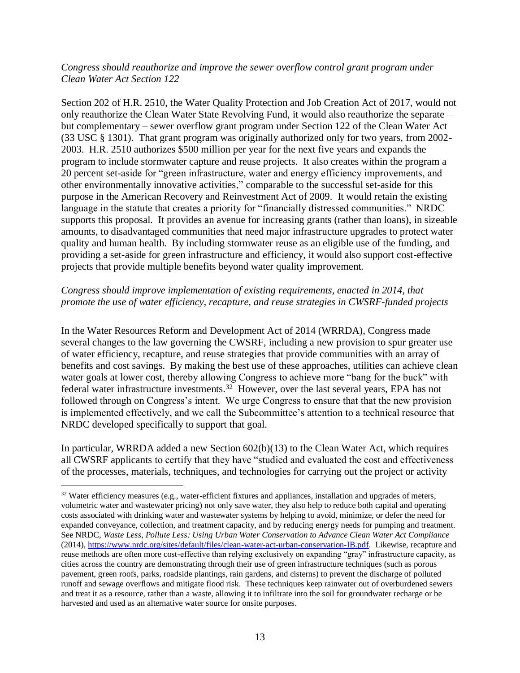#### *Congress should reauthorize and improve the sewer overflow control grant program under Clean Water Act Section 122*

Section 202 of H.R. 2510, the Water Quality Protection and Job Creation Act of 2017, would not only reauthorize the Clean Water State Revolving Fund, it would also reauthorize the separate – but complementary – sewer overflow grant program under Section 122 of the Clean Water Act (33 USC § 1301). That grant program was originally authorized only for two years, from 2002- 2003. H.R. 2510 authorizes \$500 million per year for the next five years and expands the program to include stormwater capture and reuse projects. It also creates within the program a 20 percent set-aside for "green infrastructure, water and energy efficiency improvements, and other environmentally innovative activities," comparable to the successful set-aside for this purpose in the American Recovery and Reinvestment Act of 2009. It would retain the existing language in the statute that creates a priority for "financially distressed communities." NRDC supports this proposal. It provides an avenue for increasing grants (rather than loans), in sizeable amounts, to disadvantaged communities that need major infrastructure upgrades to protect water quality and human health. By including stormwater reuse as an eligible use of the funding, and providing a set-aside for green infrastructure and efficiency, it would also support cost-effective projects that provide multiple benefits beyond water quality improvement.

#### *Congress should improve implementation of existing requirements, enacted in 2014, that promote the use of water efficiency, recapture, and reuse strategies in CWSRF-funded projects*

In the Water Resources Reform and Development Act of 2014 (WRRDA), Congress made several changes to the law governing the CWSRF, including a new provision to spur greater use of water efficiency, recapture, and reuse strategies that provide communities with an array of benefits and cost savings. By making the best use of these approaches, utilities can achieve clean water goals at lower cost, thereby allowing Congress to achieve more "bang for the buck" with federal water infrastructure investments.<sup>32</sup> However, over the last several years, EPA has not followed through on Congress's intent. We urge Congress to ensure that that the new provision is implemented effectively, and we call the Subcommittee's attention to a technical resource that NRDC developed specifically to support that goal.

In particular, WRRDA added a new Section 602(b)(13) to the Clean Water Act, which requires all CWSRF applicants to certify that they have "studied and evaluated the cost and effectiveness of the processes, materials, techniques, and technologies for carrying out the project or activity

 $32$  Water efficiency measures (e.g., water-efficient fixtures and appliances, installation and upgrades of meters, volumetric water and wastewater pricing) not only save water, they also help to reduce both capital and operating costs associated with drinking water and wastewater systems by helping to avoid, minimize, or defer the need for expanded conveyance, collection, and treatment capacity, and by reducing energy needs for pumping and treatment. See NRDC, *Waste Less, Pollute Less: Using Urban Water Conservation to Advance Clean Water Act Compliance* (2014)[, https://www.nrdc.org/sites/default/files/clean-water-act-urban-conservation-IB.pdf.](https://www.nrdc.org/sites/default/files/clean-water-act-urban-conservation-IB.pdf) Likewise, recapture and reuse methods are often more cost-effective than relying exclusively on expanding "gray" infrastructure capacity, as cities across the country are demonstrating through their use of green infrastructure techniques (such as porous pavement, green roofs, parks, roadside plantings, rain gardens, and cisterns) to prevent the discharge of polluted runoff and sewage overflows and mitigate flood risk. These techniques keep rainwater out of overburdened sewers and treat it as a resource, rather than a waste, allowing it to infiltrate into the soil for groundwater recharge or be harvested and used as an alternative water source for onsite purposes.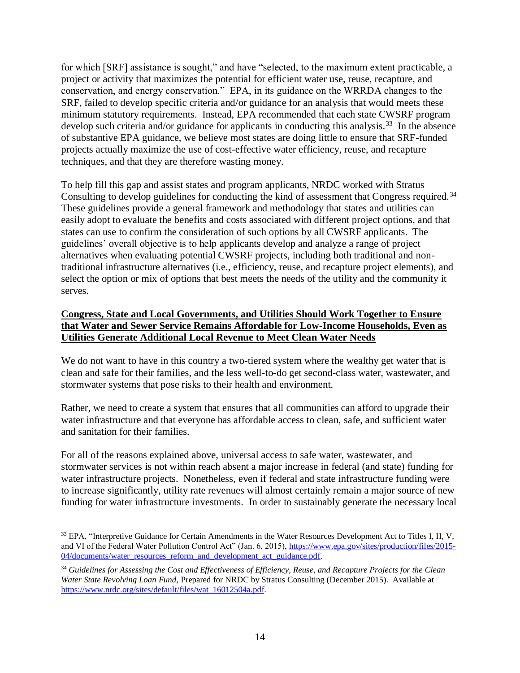for which [SRF] assistance is sought," and have "selected, to the maximum extent practicable, a project or activity that maximizes the potential for efficient water use, reuse, recapture, and conservation, and energy conservation." EPA, in its guidance on the WRRDA changes to the SRF, failed to develop specific criteria and/or guidance for an analysis that would meets these minimum statutory requirements. Instead, EPA recommended that each state CWSRF program develop such criteria and/or guidance for applicants in conducting this analysis.<sup>33</sup> In the absence of substantive EPA guidance, we believe most states are doing little to ensure that SRF-funded projects actually maximize the use of cost-effective water efficiency, reuse, and recapture techniques, and that they are therefore wasting money.

To help fill this gap and assist states and program applicants, NRDC worked with Stratus Consulting to develop guidelines for conducting the kind of assessment that Congress required.<sup>34</sup> These guidelines provide a general framework and methodology that states and utilities can easily adopt to evaluate the benefits and costs associated with different project options, and that states can use to confirm the consideration of such options by all CWSRF applicants. The guidelines' overall objective is to help applicants develop and analyze a range of project alternatives when evaluating potential CWSRF projects, including both traditional and nontraditional infrastructure alternatives (i.e., efficiency, reuse, and recapture project elements), and select the option or mix of options that best meets the needs of the utility and the community it serves.

## **Congress, State and Local Governments, and Utilities Should Work Together to Ensure that Water and Sewer Service Remains Affordable for Low-Income Households, Even as Utilities Generate Additional Local Revenue to Meet Clean Water Needs**

We do not want to have in this country a two-tiered system where the wealthy get water that is clean and safe for their families, and the less well-to-do get second-class water, wastewater, and stormwater systems that pose risks to their health and environment.

Rather, we need to create a system that ensures that all communities can afford to upgrade their water infrastructure and that everyone has affordable access to clean, safe, and sufficient water and sanitation for their families.

For all of the reasons explained above, universal access to safe water, wastewater, and stormwater services is not within reach absent a major increase in federal (and state) funding for water infrastructure projects. Nonetheless, even if federal and state infrastructure funding were to increase significantly, utility rate revenues will almost certainly remain a major source of new funding for water infrastructure investments. In order to sustainably generate the necessary local

<sup>&</sup>lt;sup>33</sup> EPA, "Interpretive Guidance for Certain Amendments in the Water Resources Development Act to Titles I, II, V, and VI of the Federal Water Pollution Control Act" (Jan. 6, 2015), [https://www.epa.gov/sites/production/files/2015-](https://www.epa.gov/sites/production/files/2015-04/documents/water_resources_reform_and_development_act_guidance.pdf) [04/documents/water\\_resources\\_reform\\_and\\_development\\_act\\_guidance.pdf.](https://www.epa.gov/sites/production/files/2015-04/documents/water_resources_reform_and_development_act_guidance.pdf)

<sup>34</sup> *Guidelines for Assessing the Cost and Effectiveness of Efficiency, Reuse, and Recapture Projects for the Clean Water State Revolving Loan Fund*, Prepared for NRDC by Stratus Consulting (December 2015). Available at [https://www.nrdc.org/sites/default/files/wat\\_16012504a.pdf.](https://www.nrdc.org/sites/default/files/wat_16012504a.pdf)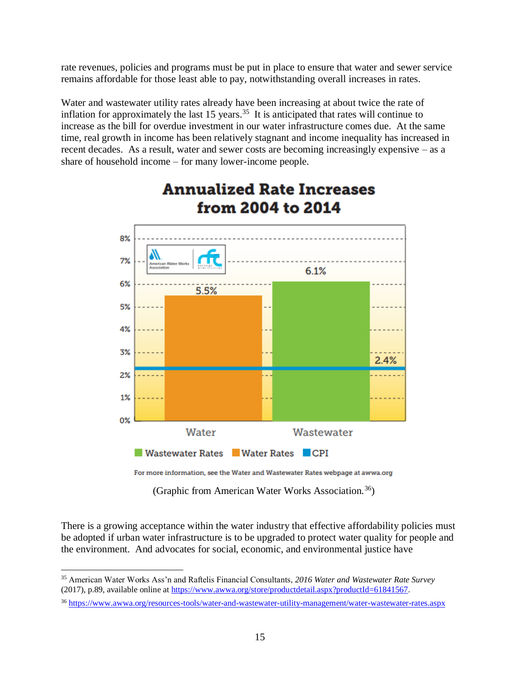rate revenues, policies and programs must be put in place to ensure that water and sewer service remains affordable for those least able to pay, notwithstanding overall increases in rates.

Water and wastewater utility rates already have been increasing at about twice the rate of inflation for approximately the last  $15$  years.<sup>35</sup> It is anticipated that rates will continue to increase as the bill for overdue investment in our water infrastructure comes due. At the same time, real growth in income has been relatively stagnant and income inequality has increased in recent decades. As a result, water and sewer costs are becoming increasingly expensive – as a share of household income – for many lower-income people.



# **Annualized Rate Increases** from 2004 to 2014

For more information, see the Water and Wastewater Rates webpage at awwa.org

(Graphic from American Water Works Association.<sup>36</sup>)

There is a growing acceptance within the water industry that effective affordability policies must be adopted if urban water infrastructure is to be upgraded to protect water quality for people and the environment. And advocates for social, economic, and environmental justice have

<sup>35</sup> American Water Works Ass'n and Raftelis Financial Consultants, *2016 Water and Wastewater Rate Survey* (2017), p.89, available online at [https://www.awwa.org/store/productdetail.aspx?productId=61841567.](https://www.awwa.org/store/productdetail.aspx?productId=61841567)

<sup>36</sup> <https://www.awwa.org/resources-tools/water-and-wastewater-utility-management/water-wastewater-rates.aspx>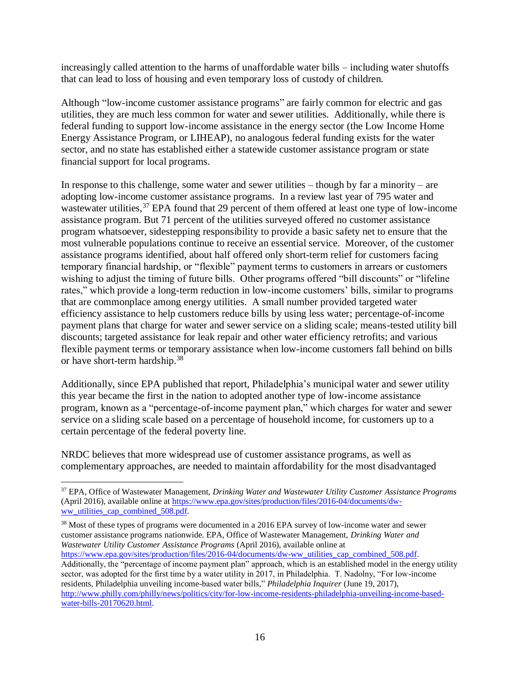increasingly called attention to the harms of unaffordable water bills – including water shutoffs that can lead to loss of housing and even temporary loss of custody of children.

Although "low-income customer assistance programs" are fairly common for electric and gas utilities, they are much less common for water and sewer utilities. Additionally, while there is federal funding to support low-income assistance in the energy sector (the Low Income Home Energy Assistance Program, or LIHEAP), no analogous federal funding exists for the water sector, and no state has established either a statewide customer assistance program or state financial support for local programs.

In response to this challenge, some water and sewer utilities – though by far a minority – are adopting low-income customer assistance programs. In a review last year of 795 water and wastewater utilities,<sup>37</sup> EPA found that 29 percent of them offered at least one type of low-income assistance program. But 71 percent of the utilities surveyed offered no customer assistance program whatsoever, sidestepping responsibility to provide a basic safety net to ensure that the most vulnerable populations continue to receive an essential service. Moreover, of the customer assistance programs identified, about half offered only short-term relief for customers facing temporary financial hardship, or "flexible" payment terms to customers in arrears or customers wishing to adjust the timing of future bills. Other programs offered "bill discounts" or "lifeline rates," which provide a long-term reduction in low-income customers' bills, similar to programs that are commonplace among energy utilities. A small number provided targeted water efficiency assistance to help customers reduce bills by using less water; percentage-of-income payment plans that charge for water and sewer service on a sliding scale; means-tested utility bill discounts; targeted assistance for leak repair and other water efficiency retrofits; and various flexible payment terms or temporary assistance when low-income customers fall behind on bills or have short-term hardship.<sup>38</sup>

Additionally, since EPA published that report, Philadelphia's municipal water and sewer utility this year became the first in the nation to adopted another type of low-income assistance program, known as a "percentage-of-income payment plan," which charges for water and sewer service on a sliding scale based on a percentage of household income, for customers up to a certain percentage of the federal poverty line.

NRDC believes that more widespread use of customer assistance programs, as well as complementary approaches, are needed to maintain affordability for the most disadvantaged

 $\overline{a}$ 

<sup>38</sup> Most of these types of programs were documented in a 2016 EPA survey of low-income water and sewer customer assistance programs nationwide. EPA, Office of Wastewater Management, *Drinking Water and Wastewater Utility Customer Assistance Programs* (April 2016), available online at

<sup>37</sup> EPA, Office of Wastewater Management, *Drinking Water and Wastewater Utility Customer Assistance Programs* (April 2016), available online at [https://www.epa.gov/sites/production/files/2016-04/documents/dw](https://www.epa.gov/sites/production/files/2016-04/documents/dw-ww_utilities_cap_combined_508.pdf)[ww\\_utilities\\_cap\\_combined\\_508.pdf.](https://www.epa.gov/sites/production/files/2016-04/documents/dw-ww_utilities_cap_combined_508.pdf)

[https://www.epa.gov/sites/production/files/2016-04/documents/dw-ww\\_utilities\\_cap\\_combined\\_508.pdf.](https://www.epa.gov/sites/production/files/2016-04/documents/dw-ww_utilities_cap_combined_508.pdf) Additionally, the "percentage of income payment plan" approach, which is an established model in the energy utility sector, was adopted for the first time by a water utility in 2017, in Philadelphia. T. Nadolny, "For low-income residents, Philadelphia unveiling income-based water bills," *Philadelphia Inquirer* (June 19, 2017), [http://www.philly.com/philly/news/politics/city/for-low-income-residents-philadelphia-unveiling-income-based](http://www.philly.com/philly/news/politics/city/for-low-income-residents-philadelphia-unveiling-income-based-water-bills-20170620.html)[water-bills-20170620.html.](http://www.philly.com/philly/news/politics/city/for-low-income-residents-philadelphia-unveiling-income-based-water-bills-20170620.html)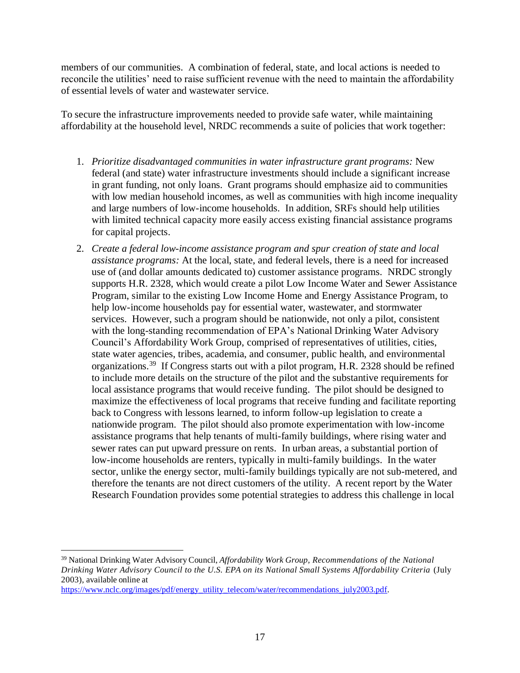members of our communities. A combination of federal, state, and local actions is needed to reconcile the utilities' need to raise sufficient revenue with the need to maintain the affordability of essential levels of water and wastewater service.

To secure the infrastructure improvements needed to provide safe water, while maintaining affordability at the household level, NRDC recommends a suite of policies that work together:

- 1. *Prioritize disadvantaged communities in water infrastructure grant programs:* New federal (and state) water infrastructure investments should include a significant increase in grant funding, not only loans. Grant programs should emphasize aid to communities with low median household incomes, as well as communities with high income inequality and large numbers of low-income households. In addition, SRFs should help utilities with limited technical capacity more easily access existing financial assistance programs for capital projects.
- 2. *Create a federal low-income assistance program and spur creation of state and local assistance programs:* At the local, state, and federal levels, there is a need for increased use of (and dollar amounts dedicated to) customer assistance programs. NRDC strongly supports H.R. 2328, which would create a pilot Low Income Water and Sewer Assistance Program, similar to the existing Low Income Home and Energy Assistance Program, to help low-income households pay for essential water, wastewater, and stormwater services. However, such a program should be nationwide, not only a pilot, consistent with the long-standing recommendation of EPA's National Drinking Water Advisory Council's Affordability Work Group, comprised of representatives of utilities, cities, state water agencies, tribes, academia, and consumer, public health, and environmental organizations.<sup>39</sup> If Congress starts out with a pilot program, H.R. 2328 should be refined to include more details on the structure of the pilot and the substantive requirements for local assistance programs that would receive funding. The pilot should be designed to maximize the effectiveness of local programs that receive funding and facilitate reporting back to Congress with lessons learned, to inform follow-up legislation to create a nationwide program. The pilot should also promote experimentation with low-income assistance programs that help tenants of multi-family buildings, where rising water and sewer rates can put upward pressure on rents. In urban areas, a substantial portion of low-income households are renters, typically in multi-family buildings. In the water sector, unlike the energy sector, multi-family buildings typically are not sub-metered, and therefore the tenants are not direct customers of the utility. A recent report by the Water Research Foundation provides some potential strategies to address this challenge in local

<sup>39</sup> National Drinking Water Advisory Council, *Affordability Work Group, Recommendations of the National Drinking Water Advisory Council to the U.S. EPA on its National Small Systems Affordability Criteria* (July 2003), available online at

[https://www.nclc.org/images/pdf/energy\\_utility\\_telecom/water/recommendations\\_july2003.pdf.](https://www.nclc.org/images/pdf/energy_utility_telecom/water/recommendations_july2003.pdf)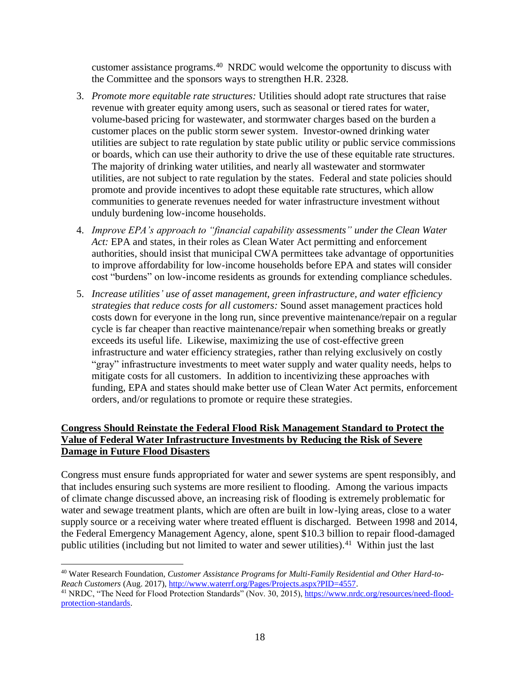customer assistance programs.<sup>40</sup> NRDC would welcome the opportunity to discuss with the Committee and the sponsors ways to strengthen H.R. 2328.

- 3. *Promote more equitable rate structures:* Utilities should adopt rate structures that raise revenue with greater equity among users, such as seasonal or tiered rates for water, volume-based pricing for wastewater, and stormwater charges based on the burden a customer places on the public storm sewer system. Investor-owned drinking water utilities are subject to rate regulation by state public utility or public service commissions or boards, which can use their authority to drive the use of these equitable rate structures. The majority of drinking water utilities, and nearly all wastewater and stormwater utilities, are not subject to rate regulation by the states. Federal and state policies should promote and provide incentives to adopt these equitable rate structures, which allow communities to generate revenues needed for water infrastructure investment without unduly burdening low-income households.
- 4. *Improve EPA's approach to "financial capability assessments" under the Clean Water Act:* EPA and states, in their roles as Clean Water Act permitting and enforcement authorities, should insist that municipal CWA permittees take advantage of opportunities to improve affordability for low-income households before EPA and states will consider cost "burdens" on low-income residents as grounds for extending compliance schedules.
- 5. *Increase utilities' use of asset management, green infrastructure, and water efficiency strategies that reduce costs for all customers:* Sound asset management practices hold costs down for everyone in the long run, since preventive maintenance/repair on a regular cycle is far cheaper than reactive maintenance/repair when something breaks or greatly exceeds its useful life. Likewise, maximizing the use of cost-effective green infrastructure and water efficiency strategies, rather than relying exclusively on costly "gray" infrastructure investments to meet water supply and water quality needs, helps to mitigate costs for all customers. In addition to incentivizing these approaches with funding, EPA and states should make better use of Clean Water Act permits, enforcement orders, and/or regulations to promote or require these strategies.

# **Congress Should Reinstate the Federal Flood Risk Management Standard to Protect the Value of Federal Water Infrastructure Investments by Reducing the Risk of Severe Damage in Future Flood Disasters**

Congress must ensure funds appropriated for water and sewer systems are spent responsibly, and that includes ensuring such systems are more resilient to flooding. Among the various impacts of climate change discussed above, an increasing risk of flooding is extremely problematic for water and sewage treatment plants, which are often are built in low-lying areas, close to a water supply source or a receiving water where treated effluent is discharged. Between 1998 and 2014, the Federal Emergency Management Agency, alone, spent \$10.3 billion to repair flood-damaged public utilities (including but not limited to water and sewer utilities). $41$  Within just the last

<sup>40</sup> Water Research Foundation, *Customer Assistance Programs for Multi-Family Residential and Other Hard-to-Reach Customers* (Aug. 2017), [http://www.waterrf.org/Pages/Projects.aspx?PID=4557.](http://www.waterrf.org/Pages/Projects.aspx?PID=4557)

<sup>&</sup>lt;sup>41</sup> NRDC, "The Need for Flood Protection Standards" (Nov. 30, 2015)[, https://www.nrdc.org/resources/need-flood](https://www.nrdc.org/resources/need-flood-protection-standards)[protection-standards.](https://www.nrdc.org/resources/need-flood-protection-standards)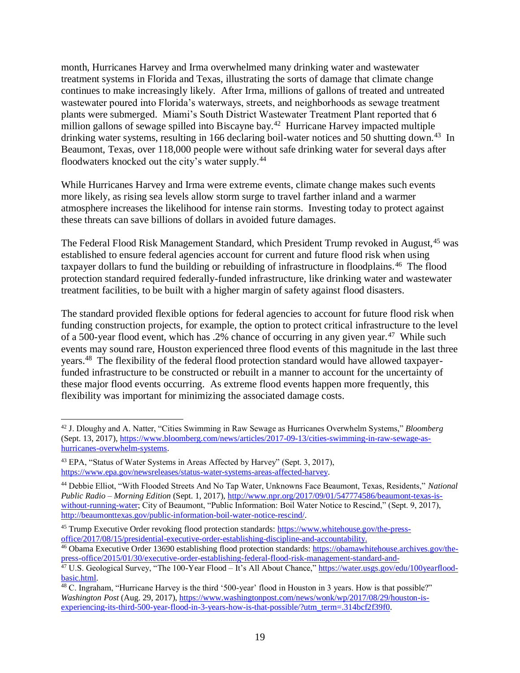month, Hurricanes Harvey and Irma overwhelmed many drinking water and wastewater treatment systems in Florida and Texas, illustrating the sorts of damage that climate change continues to make increasingly likely. After Irma, millions of gallons of treated and untreated wastewater poured into Florida's waterways, streets, and neighborhoods as sewage treatment plants were submerged. Miami's South District Wastewater Treatment Plant reported that 6 million gallons of sewage spilled into Biscayne bay.<sup>42</sup> Hurricane Harvey impacted multiple drinking water systems, resulting in 166 declaring boil-water notices and 50 shutting down.<sup>43</sup> In Beaumont, Texas, over 118,000 people were without safe drinking water for several days after floodwaters knocked out the city's water supply.<sup>44</sup>

While Hurricanes Harvey and Irma were extreme events, climate change makes such events more likely, as rising sea levels allow storm surge to travel farther inland and a warmer atmosphere increases the likelihood for intense rain storms. Investing today to protect against these threats can save billions of dollars in avoided future damages.

The Federal Flood Risk Management Standard, which President Trump revoked in August, <sup>45</sup> was established to ensure federal agencies account for current and future flood risk when using taxpayer dollars to fund the building or rebuilding of infrastructure in floodplains.<sup>46</sup> The flood protection standard required federally-funded infrastructure, like drinking water and wastewater treatment facilities, to be built with a higher margin of safety against flood disasters.

The standard provided flexible options for federal agencies to account for future flood risk when funding construction projects, for example, the option to protect critical infrastructure to the level of a 500-year flood event, which has .2% chance of occurring in any given year.<sup>47</sup> While such events may sound rare, Houston experienced three flood events of this magnitude in the last three years.<sup>48</sup> The flexibility of the federal flood protection standard would have allowed taxpayerfunded infrastructure to be constructed or rebuilt in a manner to account for the uncertainty of these major flood events occurring. As extreme flood events happen more frequently, this flexibility was important for minimizing the associated damage costs.

 $\overline{a}$ <sup>42</sup> J. Dloughy and A. Natter, "Cities Swimming in Raw Sewage as Hurricanes Overwhelm Systems," *Bloomberg* (Sept. 13, 2017), [https://www.bloomberg.com/news/articles/2017-09-13/cities-swimming-in-raw-sewage-as](https://www.bloomberg.com/news/articles/2017-09-13/cities-swimming-in-raw-sewage-as-hurricanes-overwhelm-systems)[hurricanes-overwhelm-systems.](https://www.bloomberg.com/news/articles/2017-09-13/cities-swimming-in-raw-sewage-as-hurricanes-overwhelm-systems)

<sup>43</sup> EPA, "Status of Water Systems in Areas Affected by Harvey" (Sept. 3, 2017), [https://www.epa.gov/newsreleases/status-water-systems-areas-affected-harvey.](https://www.epa.gov/newsreleases/status-water-systems-areas-affected-harvey) 

<sup>44</sup> Debbie Elliot, "With Flooded Streets And No Tap Water, Unknowns Face Beaumont, Texas, Residents," *National Public Radio – Morning Edition* (Sept. 1, 2017), [http://www.npr.org/2017/09/01/547774586/beaumont-texas-is](http://www.npr.org/2017/09/01/547774586/beaumont-texas-is-without-running-water)[without-running-water;](http://www.npr.org/2017/09/01/547774586/beaumont-texas-is-without-running-water) City of Beaumont, "Public Information: Boil Water Notice to Rescind," (Sept. 9, 2017), [http://beaumonttexas.gov/public-information-boil-water-notice-rescind/.](http://beaumonttexas.gov/public-information-boil-water-notice-rescind/)

<sup>&</sup>lt;sup>45</sup> Trump Executive Order revoking flood protection standards: [https://www.whitehouse.gov/the-press](https://www.whitehouse.gov/the-press-office/2017/08/15/presidential-executive-order-establishing-discipline-and-accountability)[office/2017/08/15/presidential-executive-order-establishing-discipline-and-accountability.](https://www.whitehouse.gov/the-press-office/2017/08/15/presidential-executive-order-establishing-discipline-and-accountability)

<sup>46</sup> Obama Executive Order 13690 establishing flood protection standards: [https://obamawhitehouse.archives.gov/the](https://obamawhitehouse.archives.gov/the-press-office/2015/01/30/executive-order-establishing-federal-flood-risk-management-standard-and-)[press-office/2015/01/30/executive-order-establishing-federal-flood-risk-management-standard-and-](https://obamawhitehouse.archives.gov/the-press-office/2015/01/30/executive-order-establishing-federal-flood-risk-management-standard-and-)

<sup>47</sup> U.S. Geological Survey, "The 100-Year Flood – It's All About Chance," [https://water.usgs.gov/edu/100yearflood](https://water.usgs.gov/edu/100yearflood-basic.html)[basic.html.](https://water.usgs.gov/edu/100yearflood-basic.html) 

<sup>&</sup>lt;sup>48</sup> C. Ingraham, "Hurricane Harvey is the third '500-year' flood in Houston in 3 years. How is that possible?" *Washington Post* (Aug. 29, 2017), [https://www.washingtonpost.com/news/wonk/wp/2017/08/29/houston-is](https://www.washingtonpost.com/news/wonk/wp/2017/08/29/houston-is-experiencing-its-third-500-year-flood-in-3-years-how-is-that-possible/?utm_term=.314bcf2f39f0)[experiencing-its-third-500-year-flood-in-3-years-how-is-that-possible/?utm\\_term=.314bcf2f39f0.](https://www.washingtonpost.com/news/wonk/wp/2017/08/29/houston-is-experiencing-its-third-500-year-flood-in-3-years-how-is-that-possible/?utm_term=.314bcf2f39f0)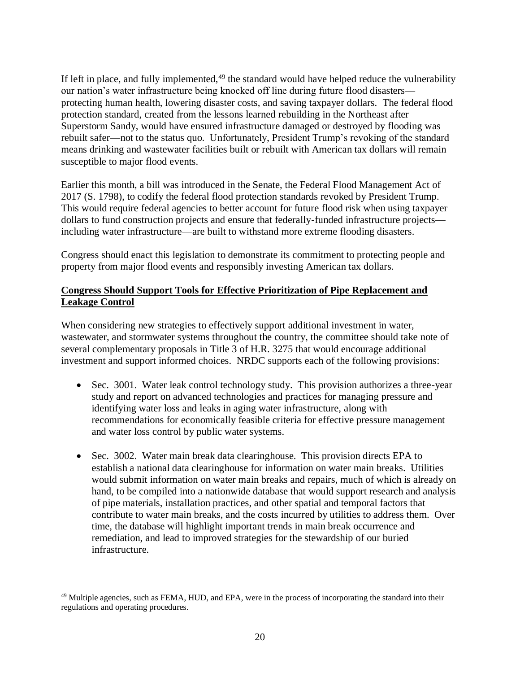If left in place, and fully implemented, $49$  the standard would have helped reduce the vulnerability our nation's water infrastructure being knocked off line during future flood disasters protecting human health, lowering disaster costs, and saving taxpayer dollars. The federal flood protection standard, created from the lessons learned rebuilding in the Northeast after Superstorm Sandy, would have ensured infrastructure damaged or destroyed by flooding was rebuilt safer—not to the status quo. Unfortunately, President Trump's revoking of the standard means drinking and wastewater facilities built or rebuilt with American tax dollars will remain susceptible to major flood events.

Earlier this month, a bill was introduced in the Senate, the Federal Flood Management Act of 2017 (S. 1798), to codify the federal flood protection standards revoked by President Trump. This would require federal agencies to better account for future flood risk when using taxpayer dollars to fund construction projects and ensure that federally-funded infrastructure projects including water infrastructure—are built to withstand more extreme flooding disasters.

Congress should enact this legislation to demonstrate its commitment to protecting people and property from major flood events and responsibly investing American tax dollars.

## **Congress Should Support Tools for Effective Prioritization of Pipe Replacement and Leakage Control**

When considering new strategies to effectively support additional investment in water, wastewater, and stormwater systems throughout the country, the committee should take note of several complementary proposals in Title 3 of H.R. 3275 that would encourage additional investment and support informed choices. NRDC supports each of the following provisions:

- Sec. 3001. Water leak control technology study. This provision authorizes a three-year study and report on advanced technologies and practices for managing pressure and identifying water loss and leaks in aging water infrastructure, along with recommendations for economically feasible criteria for effective pressure management and water loss control by public water systems.
- Sec. 3002. Water main break data clearinghouse. This provision directs EPA to establish a national data clearinghouse for information on water main breaks. Utilities would submit information on water main breaks and repairs, much of which is already on hand, to be compiled into a nationwide database that would support research and analysis of pipe materials, installation practices, and other spatial and temporal factors that contribute to water main breaks, and the costs incurred by utilities to address them. Over time, the database will highlight important trends in main break occurrence and remediation, and lead to improved strategies for the stewardship of our buried infrastructure.

 $\overline{a}$ <sup>49</sup> Multiple agencies, such as FEMA, HUD, and EPA, were in the process of incorporating the standard into their regulations and operating procedures.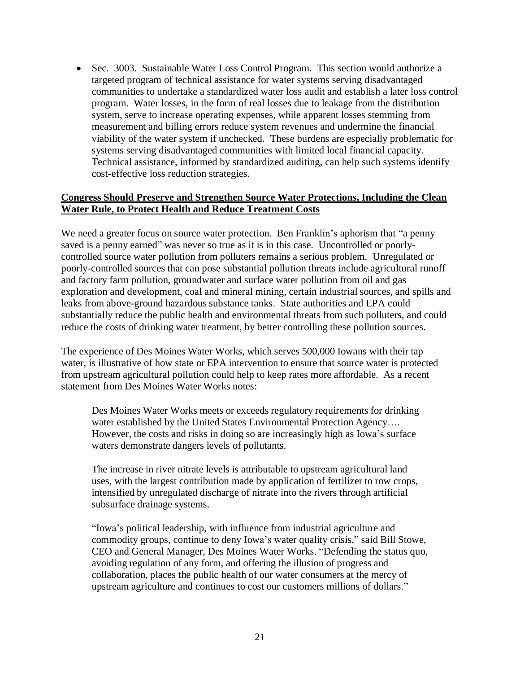• Sec. 3003. Sustainable Water Loss Control Program. This section would authorize a targeted program of technical assistance for water systems serving disadvantaged communities to undertake a standardized water loss audit and establish a later loss control program. Water losses, in the form of real losses due to leakage from the distribution system, serve to increase operating expenses, while apparent losses stemming from measurement and billing errors reduce system revenues and undermine the financial viability of the water system if unchecked. These burdens are especially problematic for systems serving disadvantaged communities with limited local financial capacity. Technical assistance, informed by standardized auditing, can help such systems identify cost-effective loss reduction strategies.

#### **Congress Should Preserve and Strengthen Source Water Protections, Including the Clean Water Rule, to Protect Health and Reduce Treatment Costs**

We need a greater focus on source water protection. Ben Franklin's aphorism that "a penny saved is a penny earned" was never so true as it is in this case. Uncontrolled or poorlycontrolled source water pollution from polluters remains a serious problem. Unregulated or poorly-controlled sources that can pose substantial pollution threats include agricultural runoff and factory farm pollution, groundwater and surface water pollution from oil and gas exploration and development, coal and mineral mining, certain industrial sources, and spills and leaks from above-ground hazardous substance tanks. State authorities and EPA could substantially reduce the public health and environmental threats from such polluters, and could reduce the costs of drinking water treatment, by better controlling these pollution sources.

The experience of Des Moines Water Works, which serves 500,000 Iowans with their tap water, is illustrative of how state or EPA intervention to ensure that source water is protected from upstream agricultural pollution could help to keep rates more affordable. As a recent statement from Des Moines Water Works notes:

Des Moines Water Works meets or exceeds regulatory requirements for drinking water established by the United States Environmental Protection Agency.... However, the costs and risks in doing so are increasingly high as Iowa's surface waters demonstrate dangers levels of pollutants.

The increase in river nitrate levels is attributable to upstream agricultural land uses, with the largest contribution made by application of fertilizer to row crops, intensified by unregulated discharge of nitrate into the rivers through artificial subsurface drainage systems.

"Iowa's political leadership, with influence from industrial agriculture and commodity groups, continue to deny Iowa's water quality crisis," said Bill Stowe, CEO and General Manager, Des Moines Water Works. "Defending the status quo, avoiding regulation of any form, and offering the illusion of progress and collaboration, places the public health of our water consumers at the mercy of upstream agriculture and continues to cost our customers millions of dollars."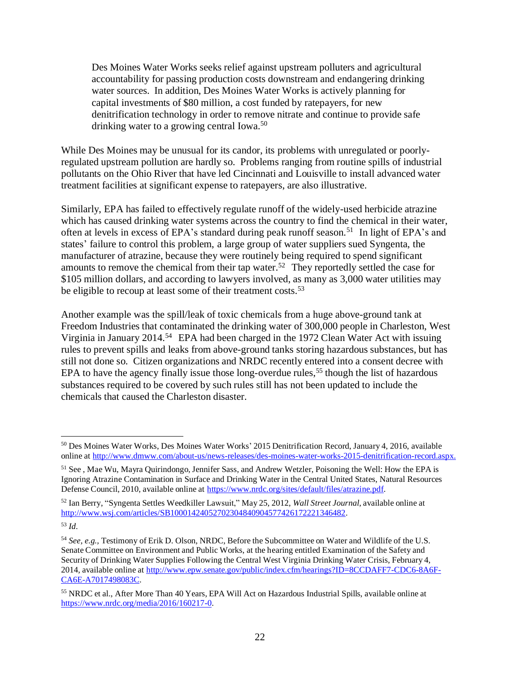Des Moines Water Works seeks relief against upstream polluters and agricultural accountability for passing production costs downstream and endangering drinking water sources. In addition, Des Moines Water Works is actively planning for capital investments of \$80 million, a cost funded by ratepayers, for new denitrification technology in order to remove nitrate and continue to provide safe drinking water to a growing central Iowa.<sup>50</sup>

While Des Moines may be unusual for its candor, its problems with unregulated or poorlyregulated upstream pollution are hardly so. Problems ranging from routine spills of industrial pollutants on the Ohio River that have led Cincinnati and Louisville to install advanced water treatment facilities at significant expense to ratepayers, are also illustrative.

Similarly, EPA has failed to effectively regulate runoff of the widely-used herbicide atrazine which has caused drinking water systems across the country to find the chemical in their water, often at levels in excess of EPA's standard during peak runoff season.<sup>51</sup> In light of EPA's and states' failure to control this problem, a large group of water suppliers sued Syngenta, the manufacturer of atrazine, because they were routinely being required to spend significant amounts to remove the chemical from their tap water.<sup>52</sup> They reportedly settled the case for \$105 million dollars, and according to lawyers involved, as many as 3,000 water utilities may be eligible to recoup at least some of their treatment costs.<sup>53</sup>

Another example was the spill/leak of toxic chemicals from a huge above-ground tank at Freedom Industries that contaminated the drinking water of 300,000 people in Charleston, West Virginia in January 2014. <sup>54</sup> EPA had been charged in the 1972 Clean Water Act with issuing rules to prevent spills and leaks from above-ground tanks storing hazardous substances, but has still not done so. Citizen organizations and NRDC recently entered into a consent decree with EPA to have the agency finally issue those long-overdue rules,<sup>55</sup> though the list of hazardous substances required to be covered by such rules still has not been updated to include the chemicals that caused the Charleston disaster.

<sup>52</sup> Ian Berry, "Syngenta Settles Weedkiller Lawsuit," May 25, 2012, *Wall Street Journal*, available online at [http://www.wsj.com/articles/SB10001424052702304840904577426172221346482.](http://www.wsj.com/articles/SB10001424052702304840904577426172221346482)

<sup>50</sup> Des Moines Water Works, Des Moines Water Works' 2015 Denitrification Record, January 4, 2016, available online at [http://www.dmww.com/about-us/news-releases/des-moines-water-works-2015-denitrification-record.aspx.](http://www.dmww.com/about-us/news-releases/des-moines-water-works-2015-denitrification-record.aspx)

<sup>51</sup> See , Mae Wu, Mayra Quirindongo, Jennifer Sass, and Andrew Wetzler, Poisoning the Well: How the EPA is Ignoring Atrazine Contamination in Surface and Drinking Water in the Central United States, Natural Resources Defense Council, 2010, available online at [https://www.nrdc.org/sites/default/files/atrazine.pdf.](https://www.nrdc.org/sites/default/files/atrazine.pdf)

<sup>53</sup> *Id*.

<sup>&</sup>lt;sup>54</sup> See, e.g., Testimony of Erik D. Olson, NRDC, Before the Subcommittee on Water and Wildlife of the U.S. Senate Committee on Environment and Public Works, at the hearing entitled Examination of the Safety and Security of Drinking Water Supplies Following the Central West Virginia Drinking Water Crisis, February 4, 2014, available online at http://www.epw.senate.gov/public/index.cfm/hearings?ID=8CCDAFF7-CDC6[-8A6F-](http://www.epw.senate.gov/public/index.cfm/hearings?ID=8CCDAFF7-CDC6-8A6F-CA6E-A7017498083C)[CA6E-A7017498083C.](http://www.epw.senate.gov/public/index.cfm/hearings?ID=8CCDAFF7-CDC6-8A6F-CA6E-A7017498083C)

<sup>55</sup> NRDC et al., After More Than 40 Years, EPA Will Act on Hazardous Industrial Spills, available online at [https://www.nrdc.org/media/2016/160217-0.](https://www.nrdc.org/media/2016/160217-0)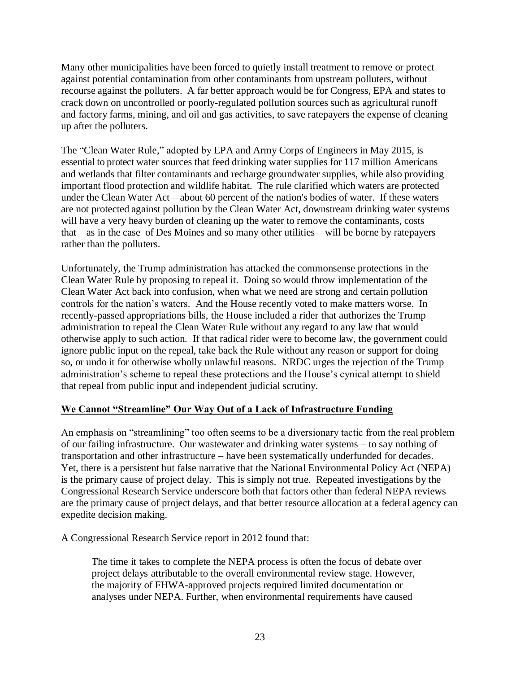Many other municipalities have been forced to quietly install treatment to remove or protect against potential contamination from other contaminants from upstream polluters, without recourse against the polluters. A far better approach would be for Congress, EPA and states to crack down on uncontrolled or poorly-regulated pollution sources such as agricultural runoff and factory farms, mining, and oil and gas activities, to save ratepayers the expense of cleaning up after the polluters.

The "Clean Water Rule," adopted by EPA and Army Corps of Engineers in May 2015, is essential to protect water sources that feed drinking water supplies for 117 million Americans and wetlands that filter contaminants and recharge groundwater supplies, while also providing important flood protection and wildlife habitat. The rule clarified which waters are protected under the Clean Water Act—about 60 percent of the nation's bodies of water. If these waters are not protected against pollution by the Clean Water Act, downstream drinking water systems will have a very heavy burden of cleaning up the water to remove the contaminants, costs that—as in the case of Des Moines and so many other utilities—will be borne by ratepayers rather than the polluters.

Unfortunately, the Trump administration has attacked the commonsense protections in the Clean Water Rule by proposing to repeal it. Doing so would throw implementation of the Clean Water Act back into confusion, when what we need are strong and certain pollution controls for the nation's waters. And the House recently voted to make matters worse. In recently-passed appropriations bills, the House included a rider that authorizes the Trump administration to repeal the Clean Water Rule without any regard to any law that would otherwise apply to such action. If that radical rider were to become law, the government could ignore public input on the repeal, take back the Rule without any reason or support for doing so, or undo it for otherwise wholly unlawful reasons. NRDC urges the rejection of the Trump administration's scheme to repeal these protections and the House's cynical attempt to shield that repeal from public input and independent judicial scrutiny.

## **We Cannot "Streamline" Our Way Out of a Lack of Infrastructure Funding**

An emphasis on "streamlining" too often seems to be a diversionary tactic from the real problem of our failing infrastructure. Our wastewater and drinking water systems – to say nothing of transportation and other infrastructure – have been systematically underfunded for decades. Yet, there is a persistent but false narrative that the National Environmental Policy Act (NEPA) is the primary cause of project delay. This is simply not true. Repeated investigations by the Congressional Research Service underscore both that factors other than federal NEPA reviews are the primary cause of project delays, and that better resource allocation at a federal agency can expedite decision making.

A Congressional Research Service report in 2012 found that:

The time it takes to complete the NEPA process is often the focus of debate over project delays attributable to the overall environmental review stage. However, the majority of FHWA-approved projects required limited documentation or analyses under NEPA. Further, when environmental requirements have caused